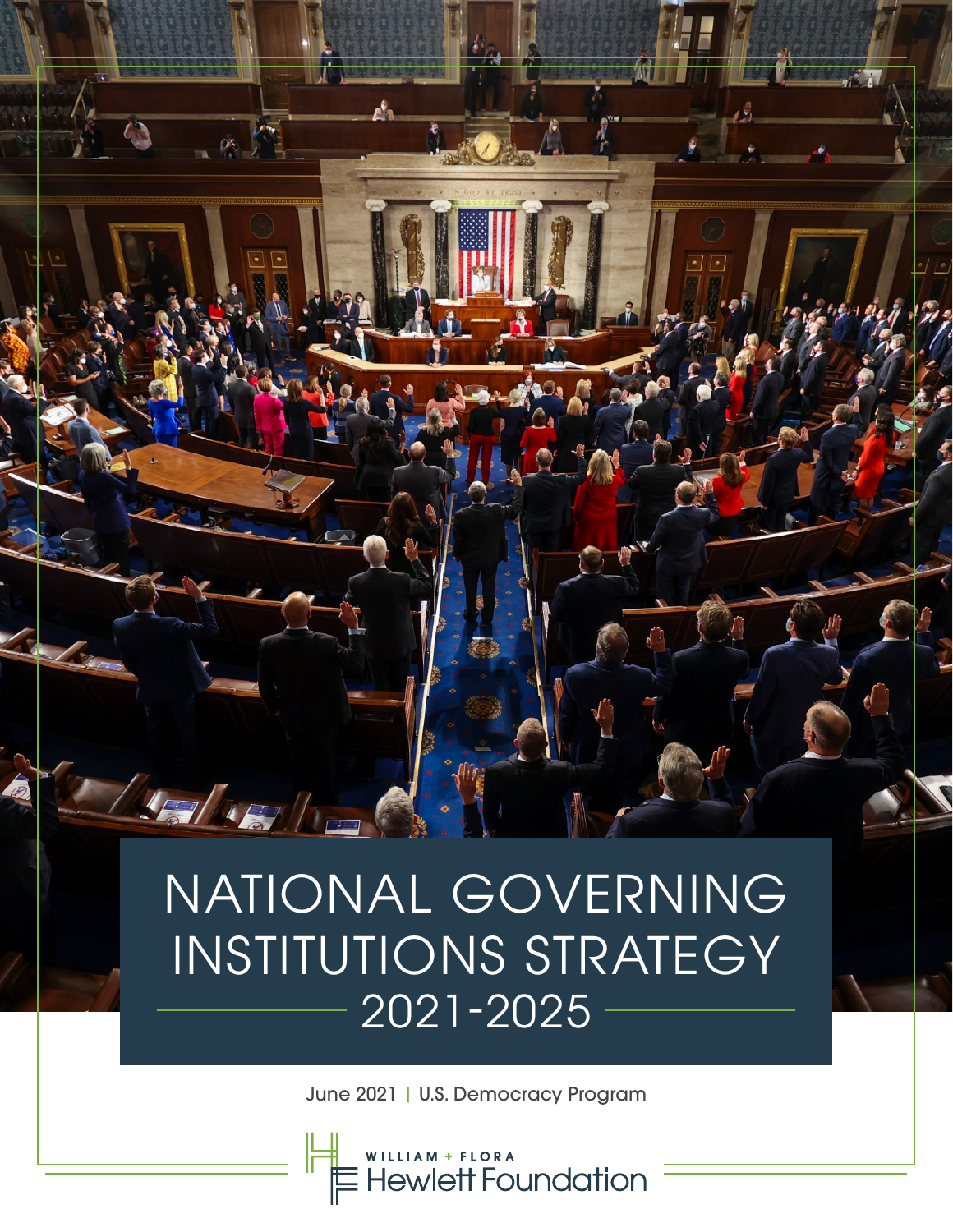# NATIONAL GOVERNING INSTITUTIONS STRATEGY 2021-2025

 $\mathcal{L}_{\mathcal{A}}$ 

100

Aughta le

June 2021 | U.S. Democracy Program

WILLIAM + FLORA<br>Hewlett Foundation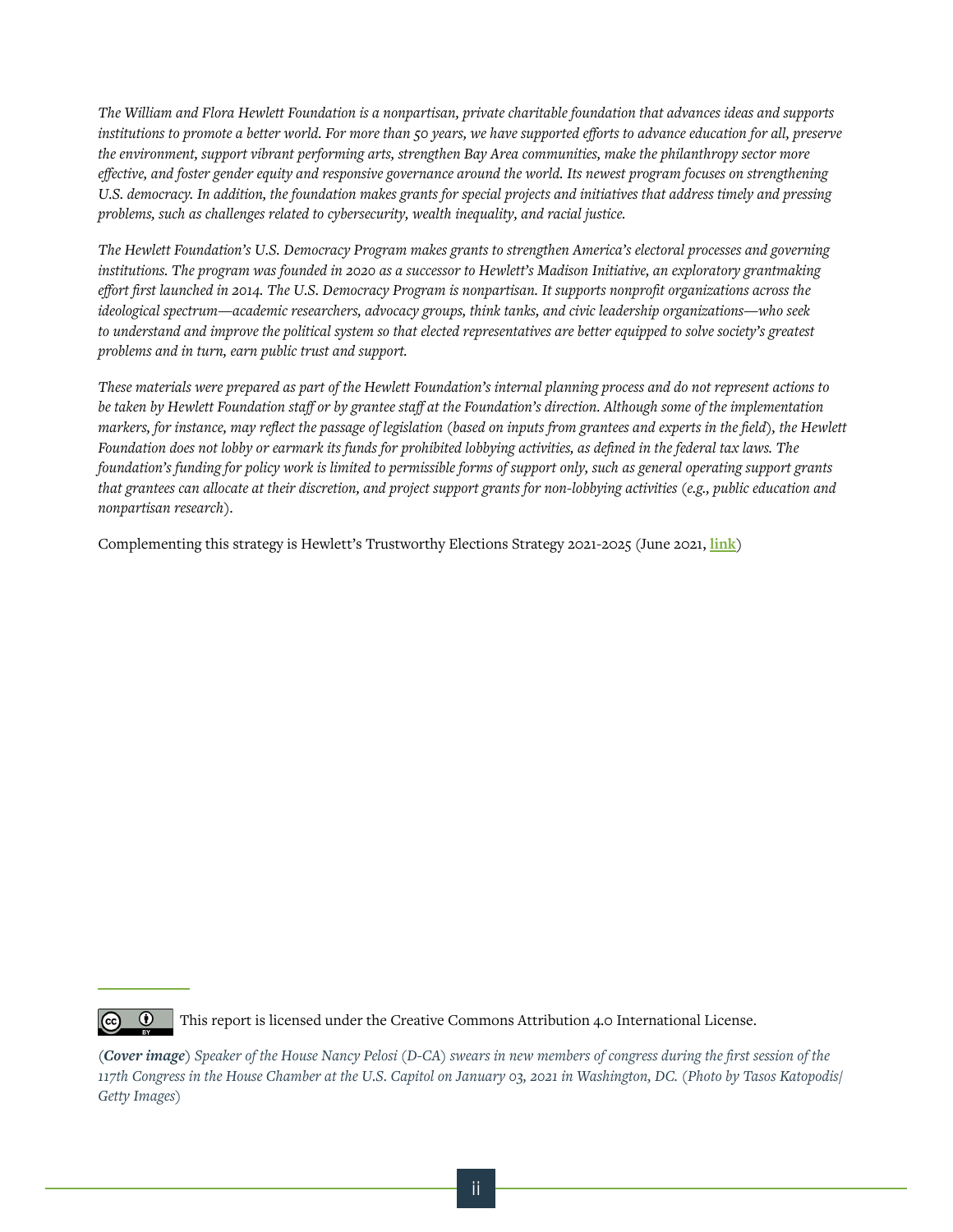*The William and Flora Hewlett Foundation is a nonpartisan, private charitable foundation that advances ideas and supports institutions to promote a better world. For more than 50 years, we have supported efforts to advance education for all, preserve the environment, support vibrant performing arts, strengthen Bay Area communities, make the philanthropy sector more effective, and foster gender equity and responsive governance around the world. Its newest program focuses on strengthening U.S. democracy. In addition, the foundation makes grants for special projects and initiatives that address timely and pressing problems, such as challenges related to cybersecurity, wealth inequality, and racial justice.*

*The Hewlett Foundation's U.S. Democracy Program makes grants to strengthen America's electoral processes and governing institutions. The program was founded in 2020 as a successor to Hewlett's Madison Initiative, an exploratory grantmaking effort first launched in 2014. The U.S. Democracy Program is nonpartisan. It supports nonprofit organizations across the ideological spectrum—academic researchers, advocacy groups, think tanks, and civic leadership organizations—who seek to understand and improve the political system so that elected representatives are better equipped to solve society's greatest problems and in turn, earn public trust and support.*

*These materials were prepared as part of the Hewlett Foundation's internal planning process and do not represent actions to be taken by Hewlett Foundation staff or by grantee staff at the Foundation's direction. Although some of the implementation markers, for instance, may reflect the passage of legislation (based on inputs from grantees and experts in the field), the Hewlett Foundation does not lobby or earmark its funds for prohibited lobbying activities, as defined in the federal tax laws. The foundation's funding for policy work is limited to permissible forms of support only, such as general operating support grants that grantees can allocate at their discretion, and project support grants for non-lobbying activities (e.g., public education and nonpartisan research).* 

Complementing this strategy is Hewlett's Trustworthy Elections Strategy 2021-2025 (June 2021, **[link](https://hewlett.org/wp-content/uploads/2021/06/Hewlett-Foundation-Trustworthy-Elections-Strategy.pdf)**)



This report is licensed under the Creative Commons Attribution 4.0 International License.

*(Cover image) Speaker of the House Nancy Pelosi (D-CA) swears in new members of congress during the first session of the 117th Congress in the House Chamber at the U.S. Capitol on January 03, 2021 in Washington, DC. (Photo by Tasos Katopodis/ Getty Images)*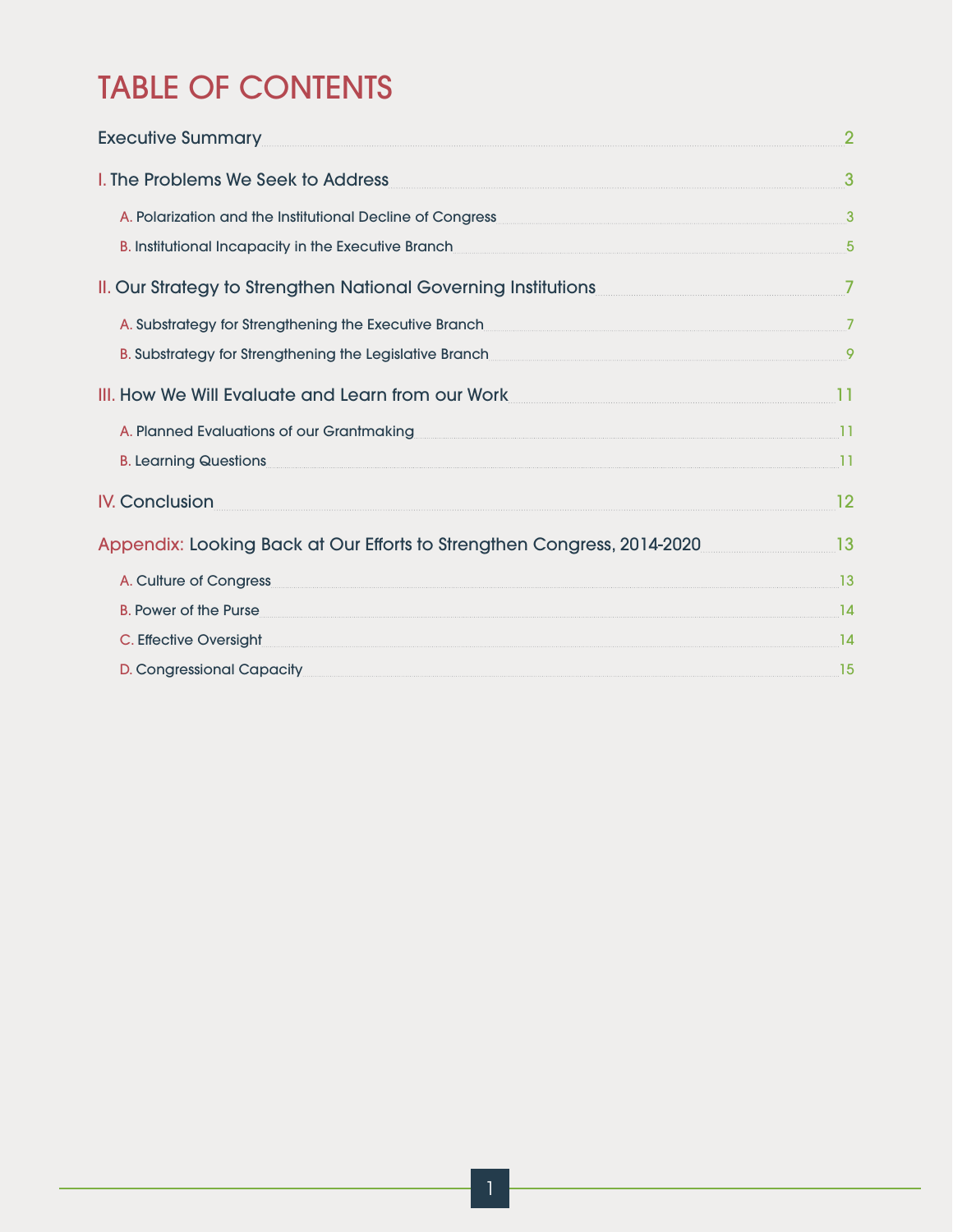## TABLE OF CONTENTS

| <b>Executive Summary</b>                                                                                                                                                                                                      | $\overline{2}$  |
|-------------------------------------------------------------------------------------------------------------------------------------------------------------------------------------------------------------------------------|-----------------|
| I. The Problems We Seek to Address                                                                                                                                                                                            | 3               |
| A. Polarization and the Institutional Decline of Congress                                                                                                                                                                     | $\mathbf{3}$    |
| B. Institutional Incapacity in the Executive Branch <b>Executive Branch Executive Branch Executive Branch Executive Branch Executive Branch Executive Branch Executive Branch  Executive Branch  Executive Branc</b>          | $5\overline{5}$ |
| II. Our Strategy to Strengthen National Governing Institutions                                                                                                                                                                | $\overline{7}$  |
| A. Substrategy for Strengthening the Executive Branch                                                                                                                                                                         |                 |
| B. Substrategy for Strengthening the Legislative Branch 34 and 2012 12 and 34 and 35 and 36 and 36 and 36 and 36 and 36 and 36 and 36 and 36 and 36 and 36 and 36 and 36 and 36 and 36 and 36 and 36 and 36 and 36 and 36 and |                 |
| III. How We Will Evaluate and Learn from our Work                                                                                                                                                                             | 11              |
| A. Planned Evaluations of our Grantmaking                                                                                                                                                                                     | 11              |
| <b>B. Learning Questions</b>                                                                                                                                                                                                  | 11              |
| <b>IV. Conclusion</b>                                                                                                                                                                                                         | 12              |
| Appendix: Looking Back at Our Efforts to Strengthen Congress, 2014-2020                                                                                                                                                       | 13              |
| A. Culture of Congress                                                                                                                                                                                                        | 13              |
| <b>B. Power of the Purse</b>                                                                                                                                                                                                  | 14              |
| C. Effective Oversight                                                                                                                                                                                                        | 14              |
| D. Congressional Capacity                                                                                                                                                                                                     | 15              |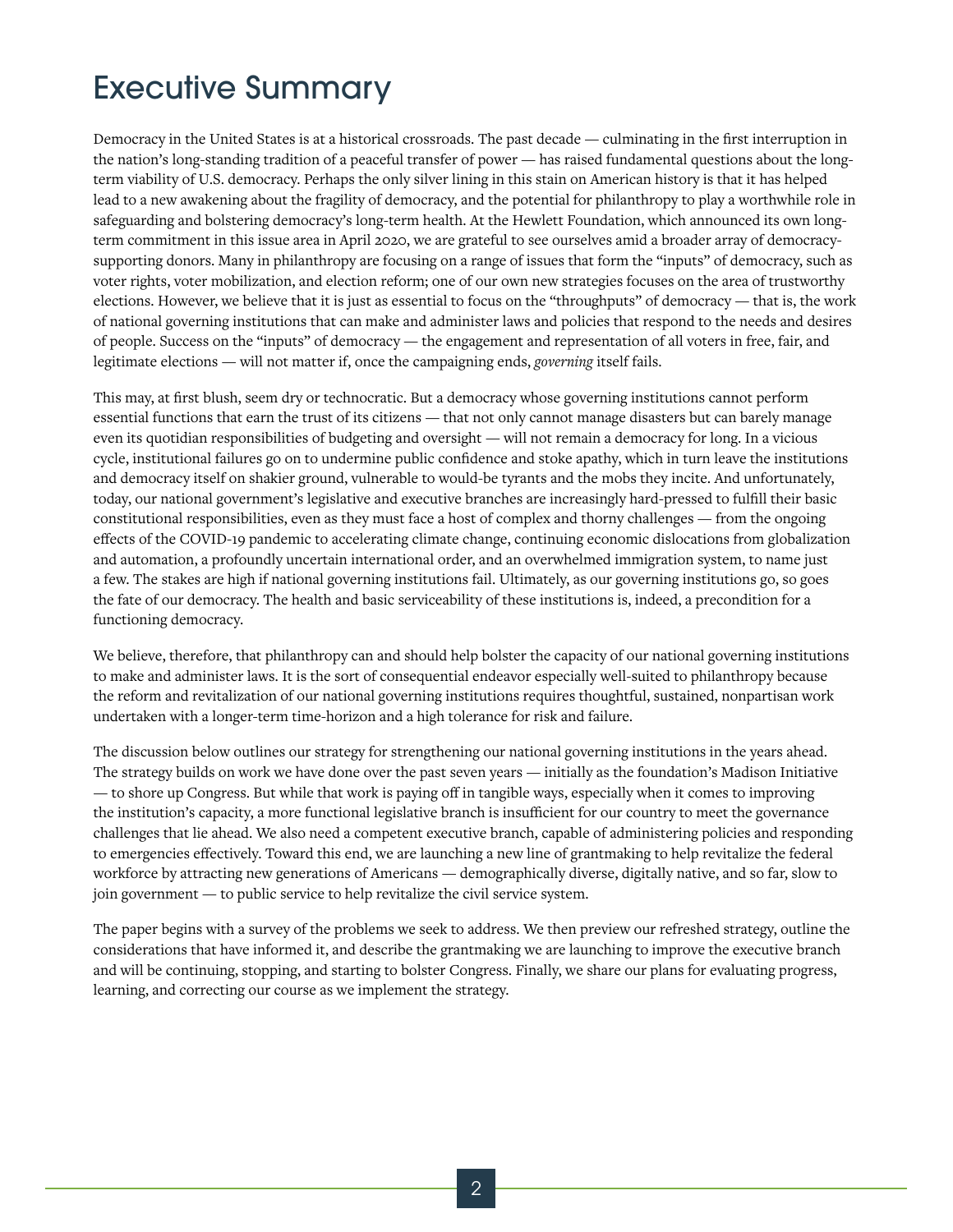### Executive Summary

Democracy in the United States is at a historical crossroads. The past decade — culminating in the first interruption in the nation's long-standing tradition of a peaceful transfer of power — has raised fundamental questions about the longterm viability of U.S. democracy. Perhaps the only silver lining in this stain on American history is that it has helped lead to a new awakening about the fragility of democracy, and the potential for philanthropy to play a worthwhile role in safeguarding and bolstering democracy's long-term health. At the Hewlett Foundation, which announced its own longterm commitment in this issue area in April 2020, we are grateful to see ourselves amid a broader array of democracysupporting donors. Many in philanthropy are focusing on a range of issues that form the "inputs" of democracy, such as voter rights, voter mobilization, and election reform; one of our own new strategies focuses on the area of trustworthy elections. However, we believe that it is just as essential to focus on the "throughputs" of democracy — that is, the work of national governing institutions that can make and administer laws and policies that respond to the needs and desires of people. Success on the "inputs" of democracy — the engagement and representation of all voters in free, fair, and legitimate elections — will not matter if, once the campaigning ends, *governing* itself fails.

This may, at first blush, seem dry or technocratic. But a democracy whose governing institutions cannot perform essential functions that earn the trust of its citizens — that not only cannot manage disasters but can barely manage even its quotidian responsibilities of budgeting and oversight — will not remain a democracy for long. In a vicious cycle, institutional failures go on to undermine public confidence and stoke apathy, which in turn leave the institutions and democracy itself on shakier ground, vulnerable to would-be tyrants and the mobs they incite. And unfortunately, today, our national government's legislative and executive branches are increasingly hard-pressed to fulfill their basic constitutional responsibilities, even as they must face a host of complex and thorny challenges — from the ongoing effects of the COVID-19 pandemic to accelerating climate change, continuing economic dislocations from globalization and automation, a profoundly uncertain international order, and an overwhelmed immigration system, to name just a few. The stakes are high if national governing institutions fail. Ultimately, as our governing institutions go, so goes the fate of our democracy. The health and basic serviceability of these institutions is, indeed, a precondition for a functioning democracy.

We believe, therefore, that philanthropy can and should help bolster the capacity of our national governing institutions to make and administer laws. It is the sort of consequential endeavor especially well-suited to philanthropy because the reform and revitalization of our national governing institutions requires thoughtful, sustained, nonpartisan work undertaken with a longer-term time-horizon and a high tolerance for risk and failure.

The discussion below outlines our strategy for strengthening our national governing institutions in the years ahead. The strategy builds on work we have done over the past seven years — initially as the foundation's Madison Initiative — to shore up Congress. But while that work is paying off in tangible ways, especially when it comes to improving the institution's capacity, a more functional legislative branch is insufficient for our country to meet the governance challenges that lie ahead. We also need a competent executive branch, capable of administering policies and responding to emergencies effectively. Toward this end, we are launching a new line of grantmaking to help revitalize the federal workforce by attracting new generations of Americans — demographically diverse, digitally native, and so far, slow to join government — to public service to help revitalize the civil service system.

The paper begins with a survey of the problems we seek to address. We then preview our refreshed strategy, outline the considerations that have informed it, and describe the grantmaking we are launching to improve the executive branch and will be continuing, stopping, and starting to bolster Congress. Finally, we share our plans for evaluating progress, learning, and correcting our course as we implement the strategy.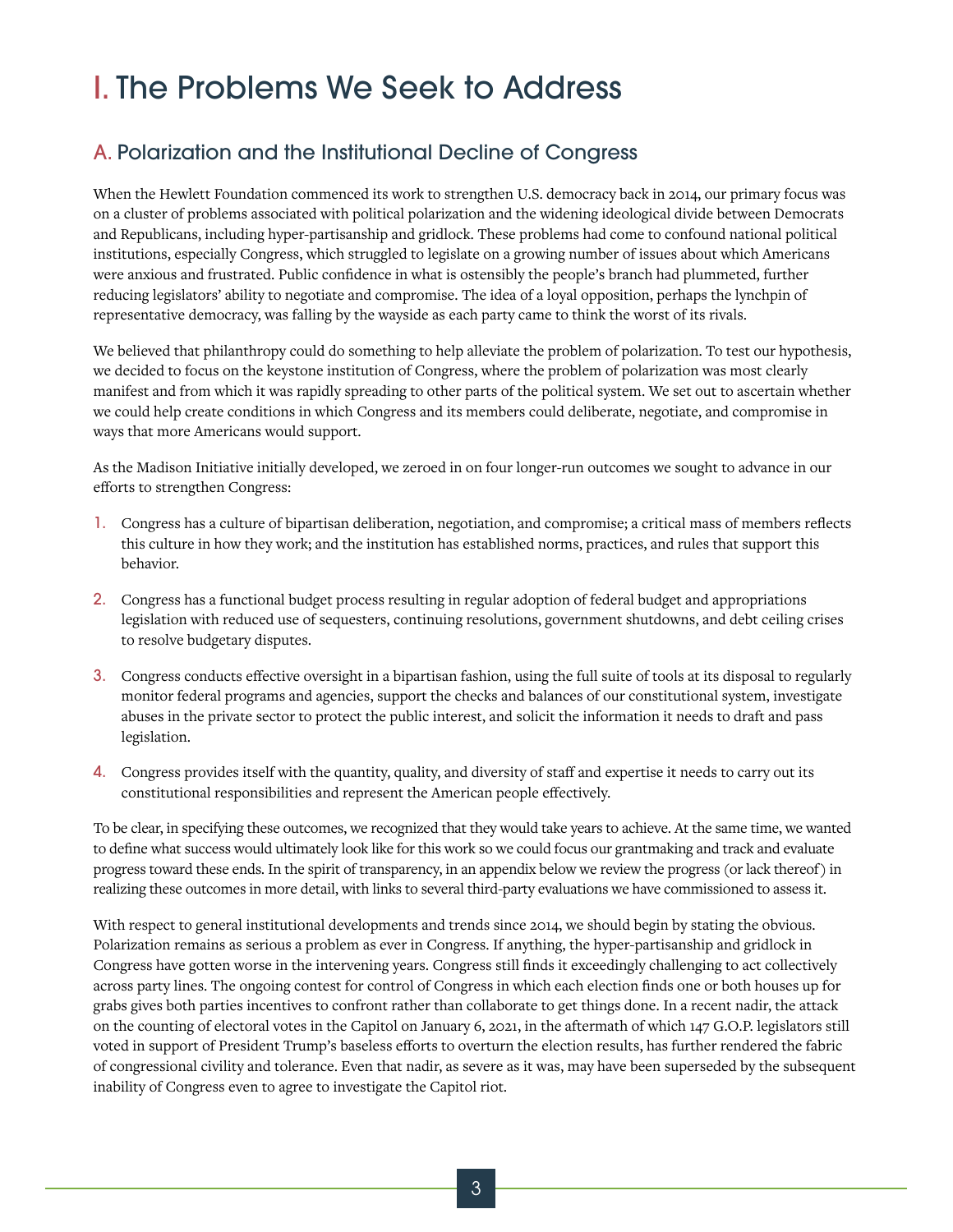### I. The Problems We Seek to Address

#### A. Polarization and the Institutional Decline of Congress

When the Hewlett Foundation commenced its work to strengthen U.S. democracy back in 2014, our primary focus was on a cluster of problems associated with political polarization and the widening ideological divide between Democrats and Republicans, including hyper-partisanship and gridlock. These problems had come to confound national political institutions, especially Congress, which struggled to legislate on a growing number of issues about which Americans were anxious and frustrated. Public confidence in what is ostensibly the people's branch had plummeted, further reducing legislators' ability to negotiate and compromise. The idea of a loyal opposition, perhaps the lynchpin of representative democracy, was falling by the wayside as each party came to think the worst of its rivals.

We believed that philanthropy could do something to help alleviate the problem of polarization. To test our hypothesis, we decided to focus on the keystone institution of Congress, where the problem of polarization was most clearly manifest and from which it was rapidly spreading to other parts of the political system. We set out to ascertain whether we could help create conditions in which Congress and its members could deliberate, negotiate, and compromise in ways that more Americans would support.

As the Madison Initiative initially developed, we zeroed in on four longer-run outcomes we sought to advance in our efforts to strengthen Congress:

- 1. Congress has a culture of bipartisan deliberation, negotiation, and compromise; a critical mass of members reflects this culture in how they work; and the institution has established norms, practices, and rules that support this behavior.
- 2. Congress has a functional budget process resulting in regular adoption of federal budget and appropriations legislation with reduced use of sequesters, continuing resolutions, government shutdowns, and debt ceiling crises to resolve budgetary disputes.
- 3. Congress conducts effective oversight in a bipartisan fashion, using the full suite of tools at its disposal to regularly monitor federal programs and agencies, support the checks and balances of our constitutional system, investigate abuses in the private sector to protect the public interest, and solicit the information it needs to draft and pass legislation.
- 4. Congress provides itself with the quantity, quality, and diversity of staff and expertise it needs to carry out its constitutional responsibilities and represent the American people effectively.

To be clear, in specifying these outcomes, we recognized that they would take years to achieve. At the same time, we wanted to define what success would ultimately look like for this work so we could focus our grantmaking and track and evaluate progress toward these ends. In the spirit of transparency, in an appendix below we review the progress (or lack thereof) in realizing these outcomes in more detail, with links to several third-party evaluations we have commissioned to assess it.

With respect to general institutional developments and trends since 2014, we should begin by stating the obvious. Polarization remains as serious a problem as ever in Congress. If anything, the hyper-partisanship and gridlock in Congress have gotten worse in the intervening years. Congress still finds it exceedingly challenging to act collectively across party lines. The ongoing contest for control of Congress in which each election finds one or both houses up for grabs gives both parties incentives to confront rather than collaborate to get things done. In a recent nadir, the attack on the counting of electoral votes in the Capitol on January 6, 2021, in the aftermath of which 147 G.O.P. legislators still voted in support of President Trump's baseless efforts to overturn the election results, has further rendered the fabric of congressional civility and tolerance. Even that nadir, as severe as it was, may have been superseded by the subsequent inability of Congress even to agree to investigate the Capitol riot.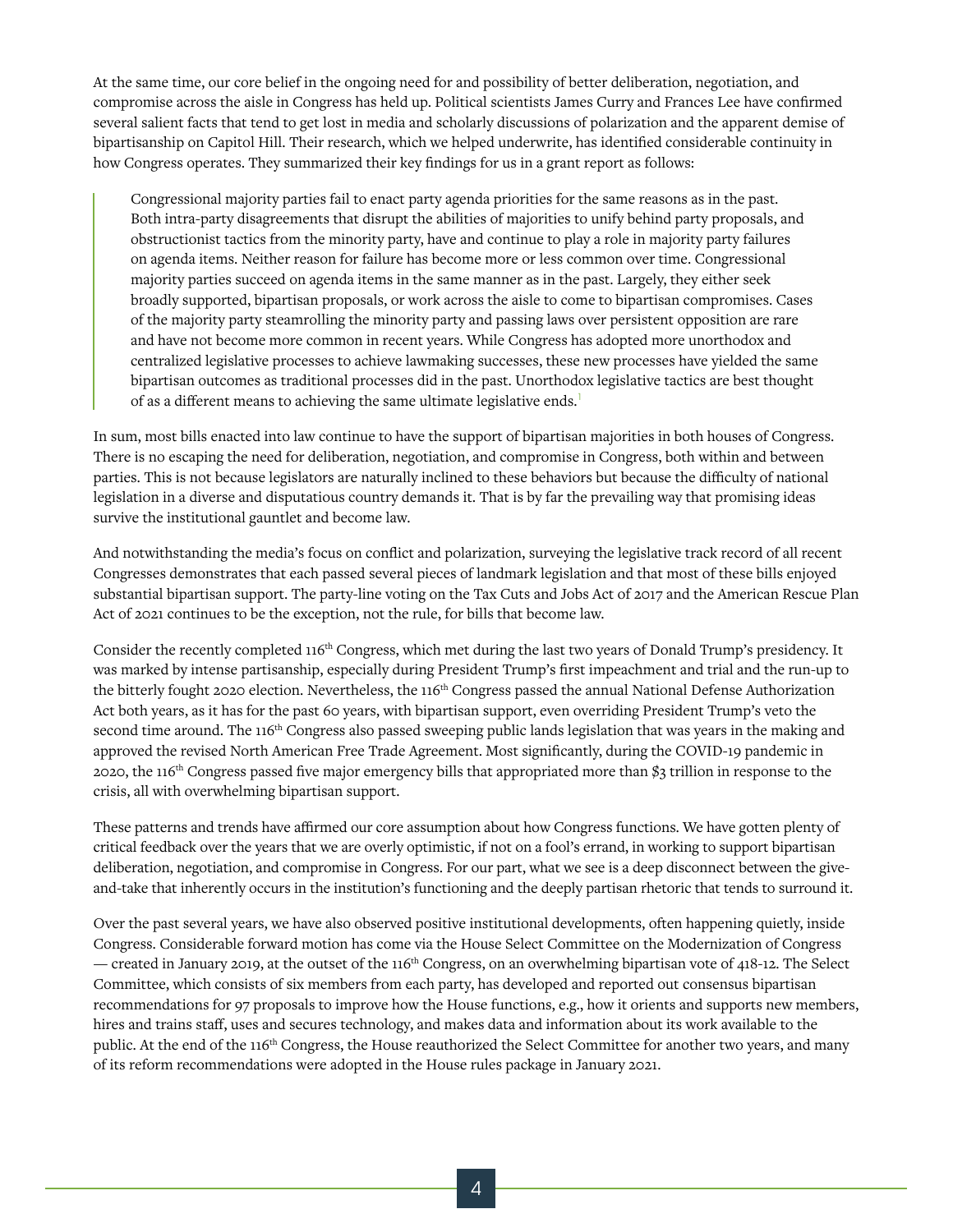At the same time, our core belief in the ongoing need for and possibility of better deliberation, negotiation, and compromise across the aisle in Congress has held up. Political scientists James Curry and Frances Lee have confirmed several salient facts that tend to get lost in media and scholarly discussions of polarization and the apparent demise of bipartisanship on Capitol Hill. Their research, which we helped underwrite, has identified considerable continuity in how Congress operates. They summarized their key findings for us in a grant report as follows:

Congressional majority parties fail to enact party agenda priorities for the same reasons as in the past. Both intra-party disagreements that disrupt the abilities of majorities to unify behind party proposals, and obstructionist tactics from the minority party, have and continue to play a role in majority party failures on agenda items. Neither reason for failure has become more or less common over time. Congressional majority parties succeed on agenda items in the same manner as in the past. Largely, they either seek broadly supported, bipartisan proposals, or work across the aisle to come to bipartisan compromises. Cases of the majority party steamrolling the minority party and passing laws over persistent opposition are rare and have not become more common in recent years. While Congress has adopted more unorthodox and centralized legislative processes to achieve lawmaking successes, these new processes have yielded the same bipartisan outcomes as traditional processes did in the past. Unorthodox legislative tactics are best thought of as a different means to achieving the same ultimate legislative ends.<sup>1</sup>

In sum, most bills enacted into law continue to have the support of bipartisan majorities in both houses of Congress. There is no escaping the need for deliberation, negotiation, and compromise in Congress, both within and between parties. This is not because legislators are naturally inclined to these behaviors but because the difficulty of national legislation in a diverse and disputatious country demands it. That is by far the prevailing way that promising ideas survive the institutional gauntlet and become law.

And notwithstanding the media's focus on conflict and polarization, surveying the legislative track record of all recent Congresses demonstrates that each passed several pieces of landmark legislation and that most of these bills enjoyed substantial bipartisan support. The party-line voting on the Tax Cuts and Jobs Act of 2017 and the American Rescue Plan Act of 2021 continues to be the exception, not the rule, for bills that become law.

Consider the recently completed 116<sup>th</sup> Congress, which met during the last two years of Donald Trump's presidency. It was marked by intense partisanship, especially during President Trump's first impeachment and trial and the run-up to the bitterly fought 2020 election. Nevertheless, the 116<sup>th</sup> Congress passed the annual National Defense Authorization Act both years, as it has for the past 60 years, with bipartisan support, even overriding President Trump's veto the second time around. The 116<sup>th</sup> Congress also passed sweeping public lands legislation that was years in the making and approved the revised North American Free Trade Agreement. Most significantly, during the COVID-19 pandemic in 2020, the 116th Congress passed five major emergency bills that appropriated more than \$3 trillion in response to the crisis, all with overwhelming bipartisan support.

These patterns and trends have affirmed our core assumption about how Congress functions. We have gotten plenty of critical feedback over the years that we are overly optimistic, if not on a fool's errand, in working to support bipartisan deliberation, negotiation, and compromise in Congress. For our part, what we see is a deep disconnect between the giveand-take that inherently occurs in the institution's functioning and the deeply partisan rhetoric that tends to surround it.

Over the past several years, we have also observed positive institutional developments, often happening quietly, inside Congress. Considerable forward motion has come via the House Select Committee on the Modernization of Congress — created in January 2019, at the outset of the  $116<sup>th</sup>$  Congress, on an overwhelming bipartisan vote of 418-12. The Select Committee, which consists of six members from each party, has developed and reported out consensus bipartisan recommendations for 97 proposals to improve how the House functions, e.g., how it orients and supports new members, hires and trains staff, uses and secures technology, and makes data and information about its work available to the public. At the end of the 116<sup>th</sup> Congress, the House reauthorized the Select Committee for another two years, and many of its reform recommendations were adopted in the House rules package in January 2021.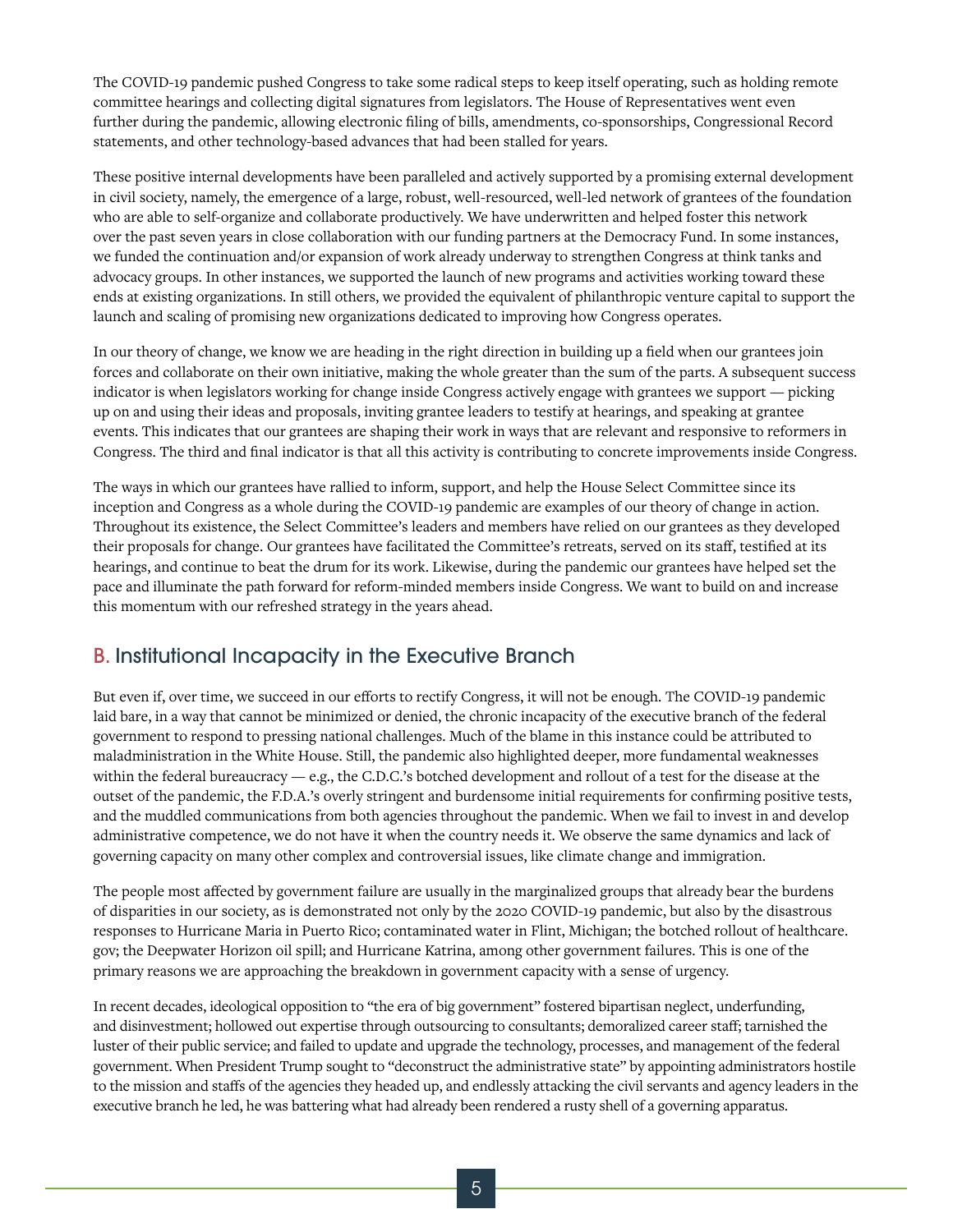The COVID-19 pandemic pushed Congress to take some radical steps to keep itself operating, such as holding remote committee hearings and collecting digital signatures from legislators. The House of Representatives went even further during the pandemic, allowing electronic filing of bills, amendments, co-sponsorships, Congressional Record statements, and other technology-based advances that had been stalled for years.

These positive internal developments have been paralleled and actively supported by a promising external development in civil society, namely, the emergence of a large, robust, well-resourced, well-led network of grantees of the foundation who are able to self-organize and collaborate productively. We have underwritten and helped foster this network over the past seven years in close collaboration with our funding partners at the Democracy Fund. In some instances, we funded the continuation and/or expansion of work already underway to strengthen Congress at think tanks and advocacy groups. In other instances, we supported the launch of new programs and activities working toward these ends at existing organizations. In still others, we provided the equivalent of philanthropic venture capital to support the launch and scaling of promising new organizations dedicated to improving how Congress operates.

In our theory of change, we know we are heading in the right direction in building up a field when our grantees join forces and collaborate on their own initiative, making the whole greater than the sum of the parts. A subsequent success indicator is when legislators working for change inside Congress actively engage with grantees we support — picking up on and using their ideas and proposals, inviting grantee leaders to testify at hearings, and speaking at grantee events. This indicates that our grantees are shaping their work in ways that are relevant and responsive to reformers in Congress. The third and final indicator is that all this activity is contributing to concrete improvements inside Congress.

The ways in which our grantees have rallied to inform, support, and help the House Select Committee since its inception and Congress as a whole during the COVID-19 pandemic are examples of our theory of change in action. Throughout its existence, the Select Committee's leaders and members have relied on our grantees as they developed their proposals for change. Our grantees have facilitated the Committee's retreats, served on its staff, testified at its hearings, and continue to beat the drum for its work. Likewise, during the pandemic our grantees have helped set the pace and illuminate the path forward for reform-minded members inside Congress. We want to build on and increase this momentum with our refreshed strategy in the years ahead.

#### B. Institutional Incapacity in the Executive Branch

But even if, over time, we succeed in our efforts to rectify Congress, it will not be enough. The COVID-19 pandemic laid bare, in a way that cannot be minimized or denied, the chronic incapacity of the executive branch of the federal government to respond to pressing national challenges. Much of the blame in this instance could be attributed to maladministration in the White House. Still, the pandemic also highlighted deeper, more fundamental weaknesses within the federal bureaucracy — e.g., the C.D.C.'s botched development and rollout of a test for the disease at the outset of the pandemic, the F.D.A.'s overly stringent and burdensome initial requirements for confirming positive tests, and the muddled communications from both agencies throughout the pandemic. When we fail to invest in and develop administrative competence, we do not have it when the country needs it. We observe the same dynamics and lack of governing capacity on many other complex and controversial issues, like climate change and immigration.

The people most affected by government failure are usually in the marginalized groups that already bear the burdens of disparities in our society, as is demonstrated not only by the 2020 COVID-19 pandemic, but also by the disastrous responses to Hurricane Maria in Puerto Rico; contaminated water in Flint, Michigan; the botched rollout of healthcare. gov; the Deepwater Horizon oil spill; and Hurricane Katrina, among other government failures. This is one of the primary reasons we are approaching the breakdown in government capacity with a sense of urgency.

In recent decades, ideological opposition to "the era of big government" fostered bipartisan neglect, underfunding, and disinvestment; hollowed out expertise through outsourcing to consultants; demoralized career staff; tarnished the luster of their public service; and failed to update and upgrade the technology, processes, and management of the federal government. When President Trump sought to "deconstruct the administrative state" by appointing administrators hostile to the mission and staffs of the agencies they headed up, and endlessly attacking the civil servants and agency leaders in the executive branch he led, he was battering what had already been rendered a rusty shell of a governing apparatus.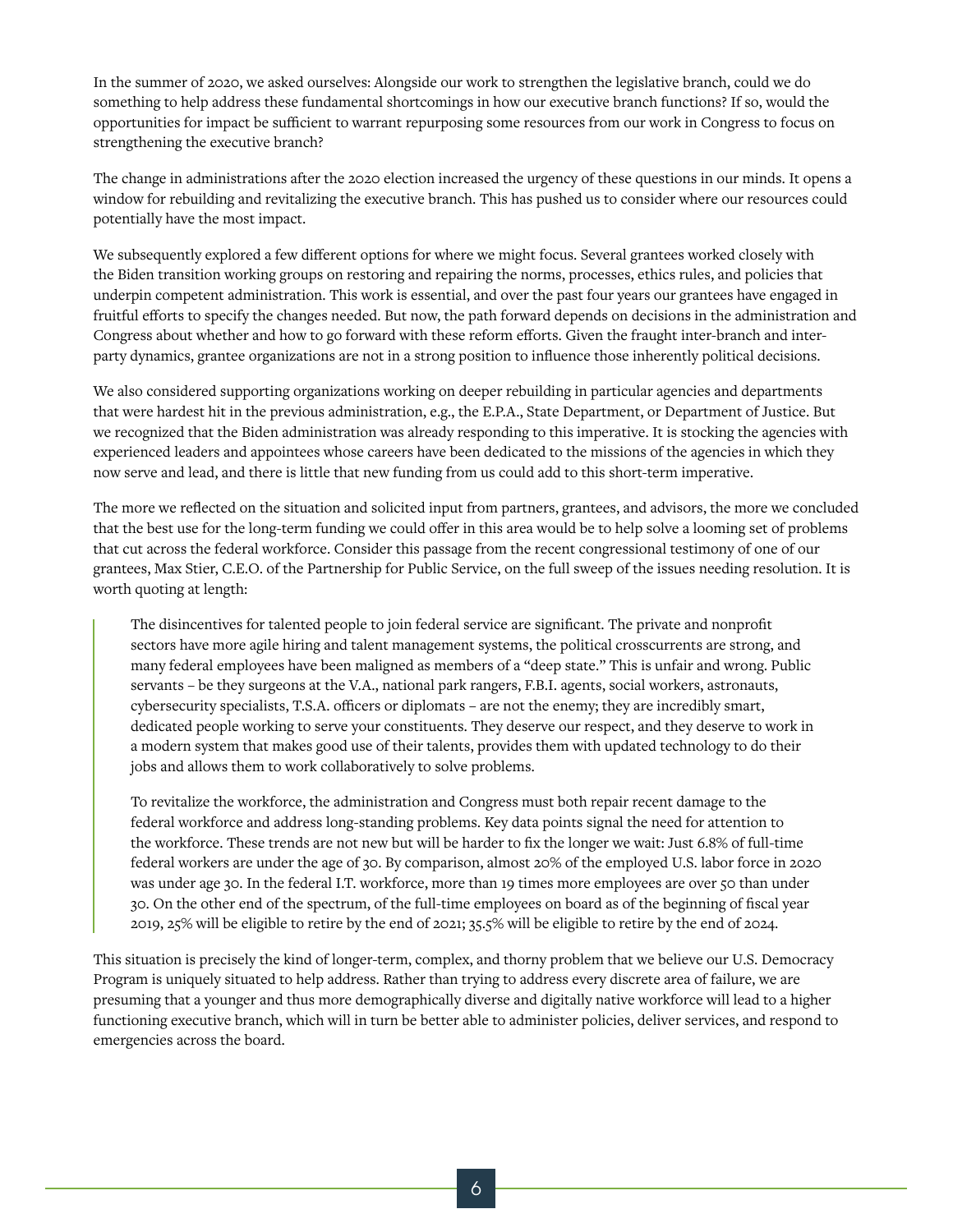In the summer of 2020, we asked ourselves: Alongside our work to strengthen the legislative branch, could we do something to help address these fundamental shortcomings in how our executive branch functions? If so, would the opportunities for impact be sufficient to warrant repurposing some resources from our work in Congress to focus on strengthening the executive branch?

The change in administrations after the 2020 election increased the urgency of these questions in our minds. It opens a window for rebuilding and revitalizing the executive branch. This has pushed us to consider where our resources could potentially have the most impact.

We subsequently explored a few different options for where we might focus. Several grantees worked closely with the Biden transition working groups on restoring and repairing the norms, processes, ethics rules, and policies that underpin competent administration. This work is essential, and over the past four years our grantees have engaged in fruitful efforts to specify the changes needed. But now, the path forward depends on decisions in the administration and Congress about whether and how to go forward with these reform efforts. Given the fraught inter-branch and interparty dynamics, grantee organizations are not in a strong position to influence those inherently political decisions.

We also considered supporting organizations working on deeper rebuilding in particular agencies and departments that were hardest hit in the previous administration, e.g., the E.P.A., State Department, or Department of Justice. But we recognized that the Biden administration was already responding to this imperative. It is stocking the agencies with experienced leaders and appointees whose careers have been dedicated to the missions of the agencies in which they now serve and lead, and there is little that new funding from us could add to this short-term imperative.

The more we reflected on the situation and solicited input from partners, grantees, and advisors, the more we concluded that the best use for the long-term funding we could offer in this area would be to help solve a looming set of problems that cut across the federal workforce. Consider this passage from the recent congressional testimony of one of our grantees, Max Stier, C.E.O. of the Partnership for Public Service, on the full sweep of the issues needing resolution. It is worth quoting at length:

The disincentives for talented people to join federal service are significant. The private and nonprofit sectors have more agile hiring and talent management systems, the political crosscurrents are strong, and many federal employees have been maligned as members of a "deep state." This is unfair and wrong. Public servants – be they surgeons at the V.A., national park rangers, F.B.I. agents, social workers, astronauts, cybersecurity specialists, T.S.A. officers or diplomats – are not the enemy; they are incredibly smart, dedicated people working to serve your constituents. They deserve our respect, and they deserve to work in a modern system that makes good use of their talents, provides them with updated technology to do their jobs and allows them to work collaboratively to solve problems.

To revitalize the workforce, the administration and Congress must both repair recent damage to the federal workforce and address long-standing problems. Key data points signal the need for attention to the workforce. These trends are not new but will be harder to fix the longer we wait: Just 6.8% of full-time federal workers are under the age of 30. By comparison, almost 20% of the employed U.S. labor force in 2020 was under age 30. In the federal I.T. workforce, more than 19 times more employees are over 50 than under 30. On the other end of the spectrum, of the full-time employees on board as of the beginning of fiscal year 2019, 25% will be eligible to retire by the end of 2021; 35.5% will be eligible to retire by the end of 2024.

This situation is precisely the kind of longer-term, complex, and thorny problem that we believe our U.S. Democracy Program is uniquely situated to help address. Rather than trying to address every discrete area of failure, we are presuming that a younger and thus more demographically diverse and digitally native workforce will lead to a higher functioning executive branch, which will in turn be better able to administer policies, deliver services, and respond to emergencies across the board.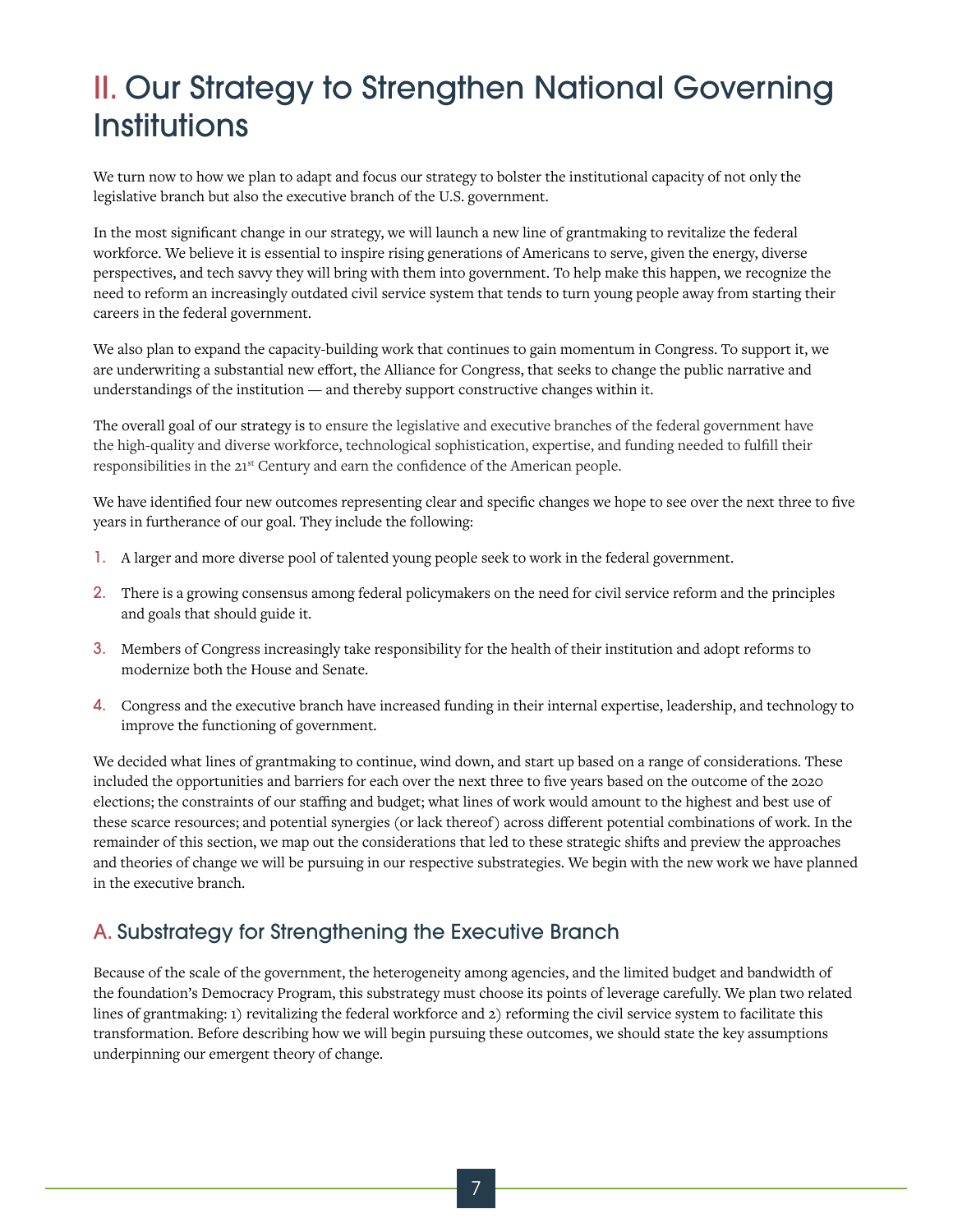### II. Our Strategy to Strengthen National Governing **Institutions**

We turn now to how we plan to adapt and focus our strategy to bolster the institutional capacity of not only the legislative branch but also the executive branch of the U.S. government.

In the most significant change in our strategy, we will launch a new line of grantmaking to revitalize the federal workforce. We believe it is essential to inspire rising generations of Americans to serve, given the energy, diverse perspectives, and tech savvy they will bring with them into government. To help make this happen, we recognize the need to reform an increasingly outdated civil service system that tends to turn young people away from starting their careers in the federal government.

We also plan to expand the capacity-building work that continues to gain momentum in Congress. To support it, we are underwriting a substantial new effort, the Alliance for Congress, that seeks to change the public narrative and understandings of the institution — and thereby support constructive changes within it.

The overall goal of our strategy is to ensure the legislative and executive branches of the federal government have the high-quality and diverse workforce, technological sophistication, expertise, and funding needed to fulfill their responsibilities in the 21st Century and earn the confidence of the American people.

We have identified four new outcomes representing clear and specific changes we hope to see over the next three to five years in furtherance of our goal. They include the following:

- 1. A larger and more diverse pool of talented young people seek to work in the federal government.
- 2. There is a growing consensus among federal policymakers on the need for civil service reform and the principles and goals that should guide it.
- 3. Members of Congress increasingly take responsibility for the health of their institution and adopt reforms to modernize both the House and Senate.
- 4. Congress and the executive branch have increased funding in their internal expertise, leadership, and technology to improve the functioning of government.

We decided what lines of grantmaking to continue, wind down, and start up based on a range of considerations. These included the opportunities and barriers for each over the next three to five years based on the outcome of the 2020 elections; the constraints of our staffing and budget; what lines of work would amount to the highest and best use of these scarce resources; and potential synergies (or lack thereof) across different potential combinations of work. In the remainder of this section, we map out the considerations that led to these strategic shifts and preview the approaches and theories of change we will be pursuing in our respective substrategies. We begin with the new work we have planned in the executive branch.

#### A. Substrategy for Strengthening the Executive Branch

Because of the scale of the government, the heterogeneity among agencies, and the limited budget and bandwidth of the foundation's Democracy Program, this substrategy must choose its points of leverage carefully. We plan two related lines of grantmaking: 1) revitalizing the federal workforce and 2) reforming the civil service system to facilitate this transformation. Before describing how we will begin pursuing these outcomes, we should state the key assumptions underpinning our emergent theory of change.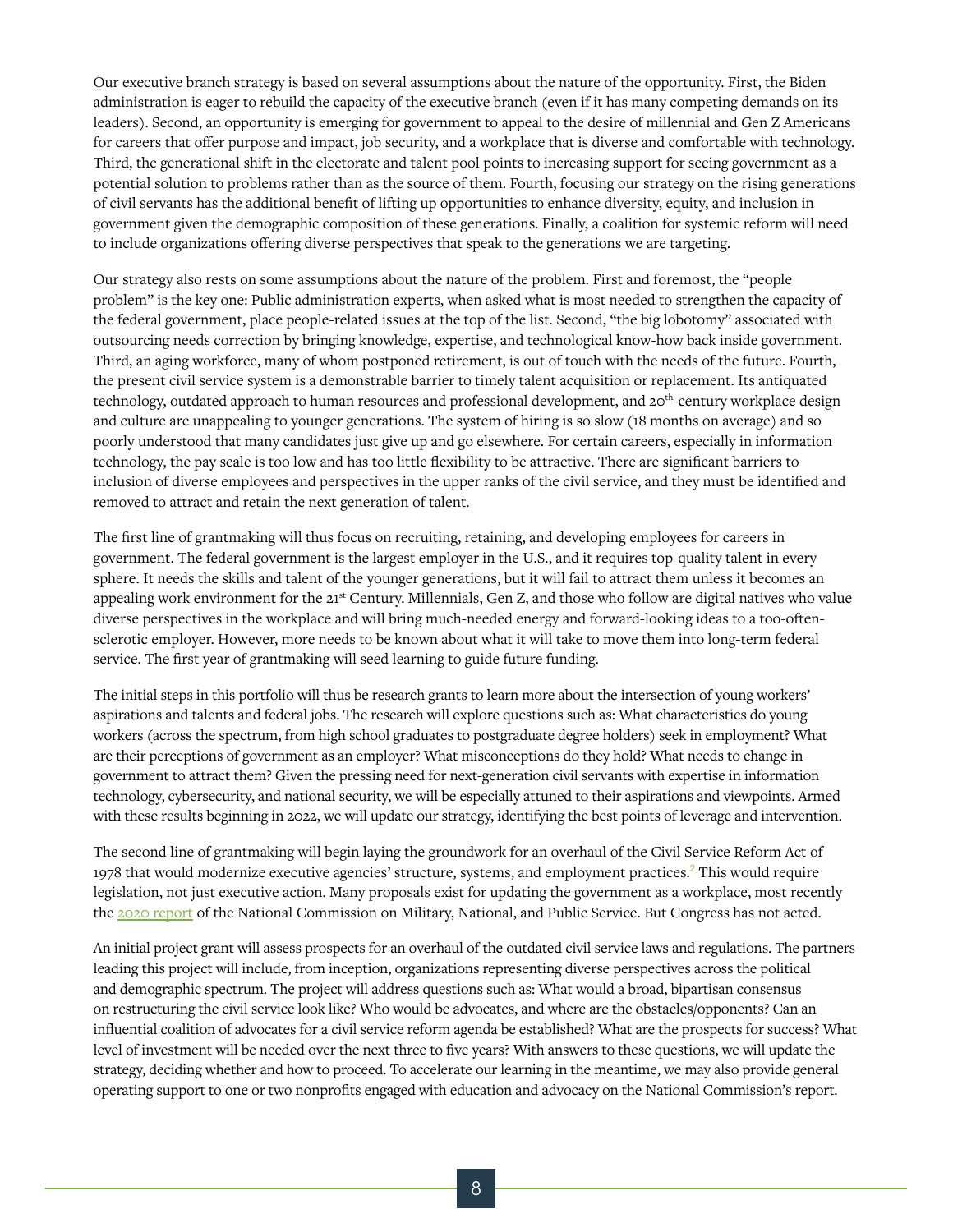Our executive branch strategy is based on several assumptions about the nature of the opportunity. First, the Biden administration is eager to rebuild the capacity of the executive branch (even if it has many competing demands on its leaders). Second, an opportunity is emerging for government to appeal to the desire of millennial and Gen Z Americans for careers that offer purpose and impact, job security, and a workplace that is diverse and comfortable with technology. Third, the generational shift in the electorate and talent pool points to increasing support for seeing government as a potential solution to problems rather than as the source of them. Fourth, focusing our strategy on the rising generations of civil servants has the additional benefit of lifting up opportunities to enhance diversity, equity, and inclusion in government given the demographic composition of these generations. Finally, a coalition for systemic reform will need to include organizations offering diverse perspectives that speak to the generations we are targeting.

Our strategy also rests on some assumptions about the nature of the problem. First and foremost, the "people problem" is the key one: Public administration experts, when asked what is most needed to strengthen the capacity of the federal government, place people-related issues at the top of the list. Second, "the big lobotomy" associated with outsourcing needs correction by bringing knowledge, expertise, and technological know-how back inside government. Third, an aging workforce, many of whom postponed retirement, is out of touch with the needs of the future. Fourth, the present civil service system is a demonstrable barrier to timely talent acquisition or replacement. Its antiquated technology, outdated approach to human resources and professional development, and 20<sup>th</sup>-century workplace design and culture are unappealing to younger generations. The system of hiring is so slow (18 months on average) and so poorly understood that many candidates just give up and go elsewhere. For certain careers, especially in information technology, the pay scale is too low and has too little flexibility to be attractive. There are significant barriers to inclusion of diverse employees and perspectives in the upper ranks of the civil service, and they must be identified and removed to attract and retain the next generation of talent.

The first line of grantmaking will thus focus on recruiting, retaining, and developing employees for careers in government. The federal government is the largest employer in the U.S., and it requires top-quality talent in every sphere. It needs the skills and talent of the younger generations, but it will fail to attract them unless it becomes an appealing work environment for the 21<sup>st</sup> Century. Millennials, Gen Z, and those who follow are digital natives who value diverse perspectives in the workplace and will bring much-needed energy and forward-looking ideas to a too-oftensclerotic employer. However, more needs to be known about what it will take to move them into long-term federal service. The first year of grantmaking will seed learning to guide future funding.

The initial steps in this portfolio will thus be research grants to learn more about the intersection of young workers' aspirations and talents and federal jobs. The research will explore questions such as: What characteristics do young workers (across the spectrum, from high school graduates to postgraduate degree holders) seek in employment? What are their perceptions of government as an employer? What misconceptions do they hold? What needs to change in government to attract them? Given the pressing need for next-generation civil servants with expertise in information technology, cybersecurity, and national security, we will be especially attuned to their aspirations and viewpoints. Armed with these results beginning in 2022, we will update our strategy, identifying the best points of leverage and intervention.

The second line of grantmaking will begin laying the groundwork for an overhaul of the Civil Service Reform Act of 1978 that would modernize executive agencies' structure, systems, and employment practices.<sup>2</sup> This would require legislation, not just executive action. Many proposals exist for updating the government as a workplace, most recently the [2020 report](https://inspire2serve.gov/reports) of the National Commission on Military, National, and Public Service. But Congress has not acted.

An initial project grant will assess prospects for an overhaul of the outdated civil service laws and regulations. The partners leading this project will include, from inception, organizations representing diverse perspectives across the political and demographic spectrum. The project will address questions such as: What would a broad, bipartisan consensus on restructuring the civil service look like? Who would be advocates, and where are the obstacles/opponents? Can an influential coalition of advocates for a civil service reform agenda be established? What are the prospects for success? What level of investment will be needed over the next three to five years? With answers to these questions, we will update the strategy, deciding whether and how to proceed. To accelerate our learning in the meantime, we may also provide general operating support to one or two nonprofits engaged with education and advocacy on the National Commission's report.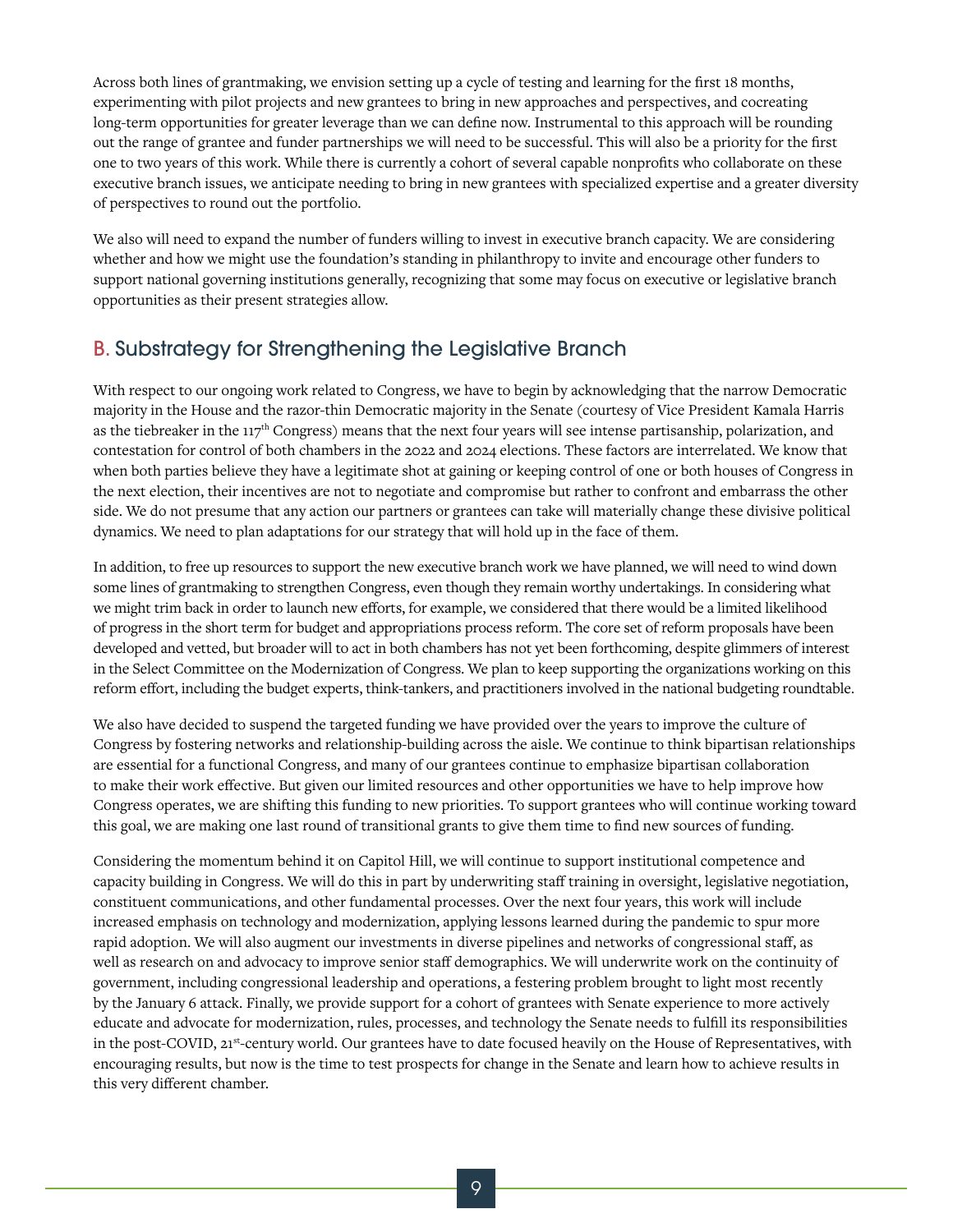Across both lines of grantmaking, we envision setting up a cycle of testing and learning for the first 18 months, experimenting with pilot projects and new grantees to bring in new approaches and perspectives, and cocreating long-term opportunities for greater leverage than we can define now. Instrumental to this approach will be rounding out the range of grantee and funder partnerships we will need to be successful. This will also be a priority for the first one to two years of this work. While there is currently a cohort of several capable nonprofits who collaborate on these executive branch issues, we anticipate needing to bring in new grantees with specialized expertise and a greater diversity of perspectives to round out the portfolio.

We also will need to expand the number of funders willing to invest in executive branch capacity. We are considering whether and how we might use the foundation's standing in philanthropy to invite and encourage other funders to support national governing institutions generally, recognizing that some may focus on executive or legislative branch opportunities as their present strategies allow.

#### B. Substrategy for Strengthening the Legislative Branch

With respect to our ongoing work related to Congress, we have to begin by acknowledging that the narrow Democratic majority in the House and the razor-thin Democratic majority in the Senate (courtesy of Vice President Kamala Harris as the tiebreaker in the  $117<sup>th</sup>$  Congress) means that the next four years will see intense partisanship, polarization, and contestation for control of both chambers in the 2022 and 2024 elections. These factors are interrelated. We know that when both parties believe they have a legitimate shot at gaining or keeping control of one or both houses of Congress in the next election, their incentives are not to negotiate and compromise but rather to confront and embarrass the other side. We do not presume that any action our partners or grantees can take will materially change these divisive political dynamics. We need to plan adaptations for our strategy that will hold up in the face of them.

In addition, to free up resources to support the new executive branch work we have planned, we will need to wind down some lines of grantmaking to strengthen Congress, even though they remain worthy undertakings. In considering what we might trim back in order to launch new efforts, for example, we considered that there would be a limited likelihood of progress in the short term for budget and appropriations process reform. The core set of reform proposals have been developed and vetted, but broader will to act in both chambers has not yet been forthcoming, despite glimmers of interest in the Select Committee on the Modernization of Congress. We plan to keep supporting the organizations working on this reform effort, including the budget experts, think-tankers, and practitioners involved in the national budgeting roundtable.

We also have decided to suspend the targeted funding we have provided over the years to improve the culture of Congress by fostering networks and relationship-building across the aisle. We continue to think bipartisan relationships are essential for a functional Congress, and many of our grantees continue to emphasize bipartisan collaboration to make their work effective. But given our limited resources and other opportunities we have to help improve how Congress operates, we are shifting this funding to new priorities. To support grantees who will continue working toward this goal, we are making one last round of transitional grants to give them time to find new sources of funding.

Considering the momentum behind it on Capitol Hill, we will continue to support institutional competence and capacity building in Congress. We will do this in part by underwriting staff training in oversight, legislative negotiation, constituent communications, and other fundamental processes. Over the next four years, this work will include increased emphasis on technology and modernization, applying lessons learned during the pandemic to spur more rapid adoption. We will also augment our investments in diverse pipelines and networks of congressional staff, as well as research on and advocacy to improve senior staff demographics. We will underwrite work on the continuity of government, including congressional leadership and operations, a festering problem brought to light most recently by the January 6 attack. Finally, we provide support for a cohort of grantees with Senate experience to more actively educate and advocate for modernization, rules, processes, and technology the Senate needs to fulfill its responsibilities in the post-COVID, 21<sup>st</sup>-century world. Our grantees have to date focused heavily on the House of Representatives, with encouraging results, but now is the time to test prospects for change in the Senate and learn how to achieve results in this very different chamber.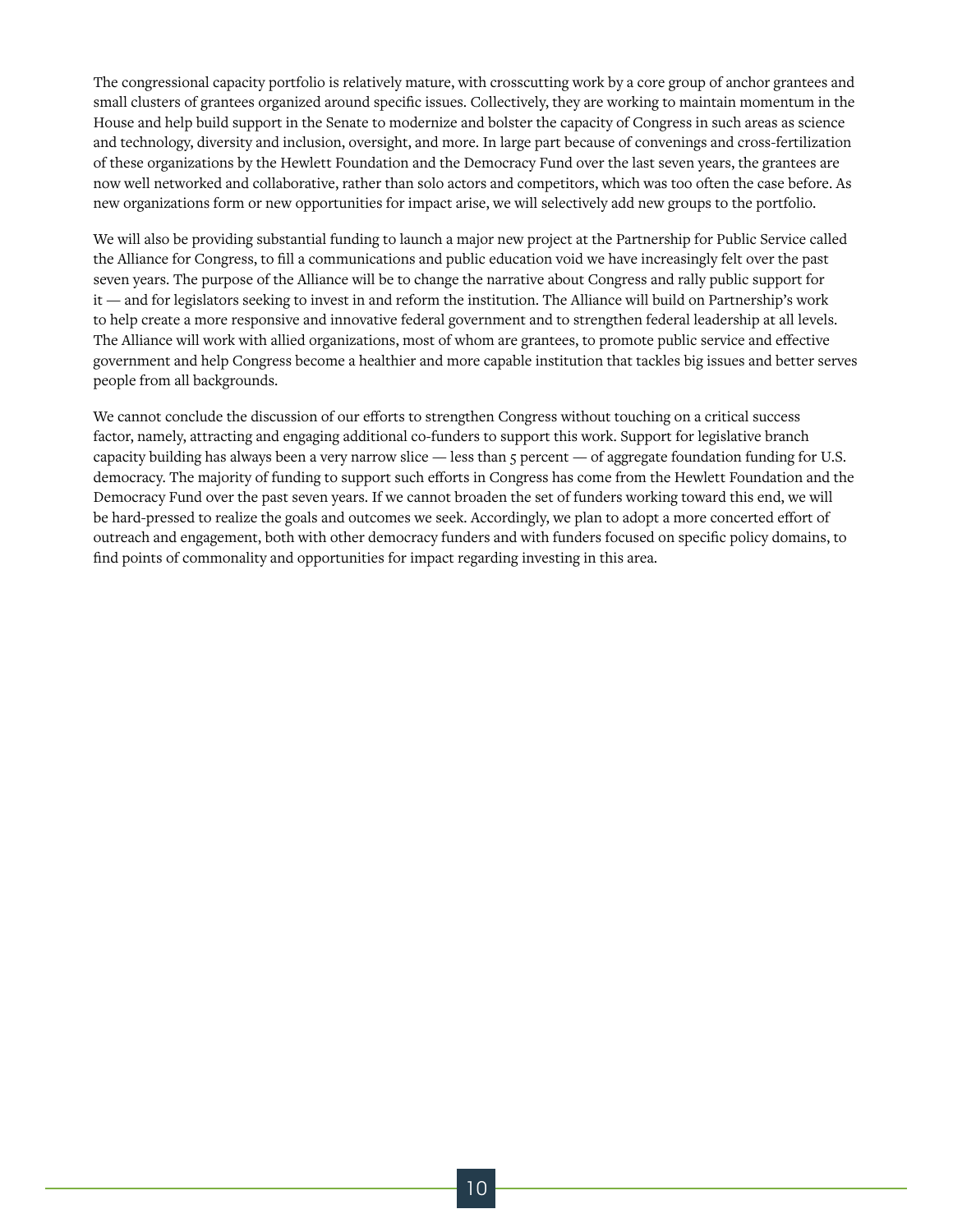The congressional capacity portfolio is relatively mature, with crosscutting work by a core group of anchor grantees and small clusters of grantees organized around specific issues. Collectively, they are working to maintain momentum in the House and help build support in the Senate to modernize and bolster the capacity of Congress in such areas as science and technology, diversity and inclusion, oversight, and more. In large part because of convenings and cross-fertilization of these organizations by the Hewlett Foundation and the Democracy Fund over the last seven years, the grantees are now well networked and collaborative, rather than solo actors and competitors, which was too often the case before. As new organizations form or new opportunities for impact arise, we will selectively add new groups to the portfolio.

We will also be providing substantial funding to launch a major new project at the Partnership for Public Service called the Alliance for Congress, to fill a communications and public education void we have increasingly felt over the past seven years. The purpose of the Alliance will be to change the narrative about Congress and rally public support for it — and for legislators seeking to invest in and reform the institution. The Alliance will build on Partnership's work to help create a more responsive and innovative federal government and to strengthen federal leadership at all levels. The Alliance will work with allied organizations, most of whom are grantees, to promote public service and effective government and help Congress become a healthier and more capable institution that tackles big issues and better serves people from all backgrounds.

We cannot conclude the discussion of our efforts to strengthen Congress without touching on a critical success factor, namely, attracting and engaging additional co-funders to support this work. Support for legislative branch capacity building has always been a very narrow slice — less than 5 percent — of aggregate foundation funding for U.S. democracy. The majority of funding to support such efforts in Congress has come from the Hewlett Foundation and the Democracy Fund over the past seven years. If we cannot broaden the set of funders working toward this end, we will be hard-pressed to realize the goals and outcomes we seek. Accordingly, we plan to adopt a more concerted effort of outreach and engagement, both with other democracy funders and with funders focused on specific policy domains, to find points of commonality and opportunities for impact regarding investing in this area.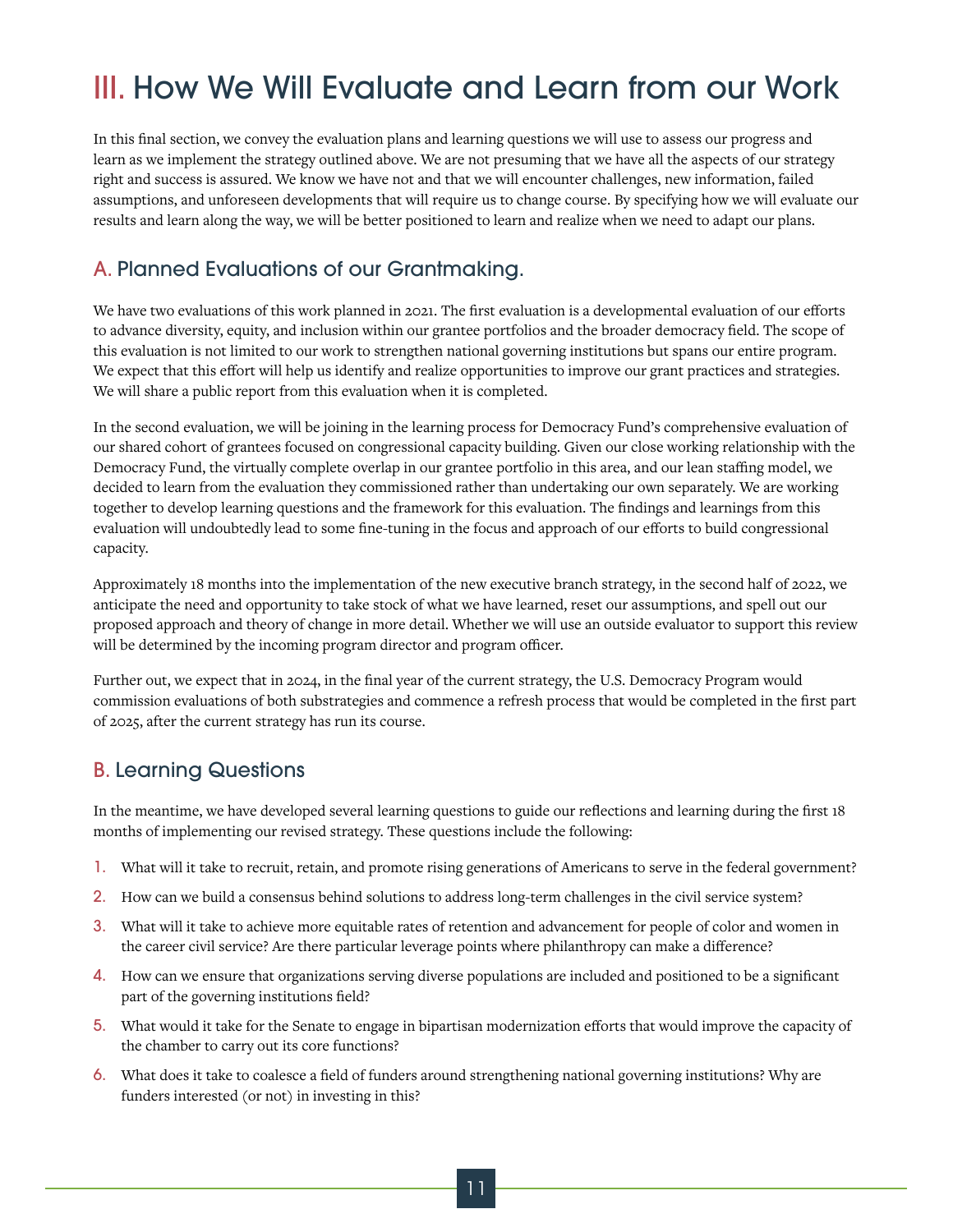## III. How We Will Evaluate and Learn from our Work

In this final section, we convey the evaluation plans and learning questions we will use to assess our progress and learn as we implement the strategy outlined above. We are not presuming that we have all the aspects of our strategy right and success is assured. We know we have not and that we will encounter challenges, new information, failed assumptions, and unforeseen developments that will require us to change course. By specifying how we will evaluate our results and learn along the way, we will be better positioned to learn and realize when we need to adapt our plans.

#### A. Planned Evaluations of our Grantmaking.

We have two evaluations of this work planned in 2021. The first evaluation is a developmental evaluation of our efforts to advance diversity, equity, and inclusion within our grantee portfolios and the broader democracy field. The scope of this evaluation is not limited to our work to strengthen national governing institutions but spans our entire program. We expect that this effort will help us identify and realize opportunities to improve our grant practices and strategies. We will share a public report from this evaluation when it is completed.

In the second evaluation, we will be joining in the learning process for Democracy Fund's comprehensive evaluation of our shared cohort of grantees focused on congressional capacity building. Given our close working relationship with the Democracy Fund, the virtually complete overlap in our grantee portfolio in this area, and our lean staffing model, we decided to learn from the evaluation they commissioned rather than undertaking our own separately. We are working together to develop learning questions and the framework for this evaluation. The findings and learnings from this evaluation will undoubtedly lead to some fine-tuning in the focus and approach of our efforts to build congressional capacity.

Approximately 18 months into the implementation of the new executive branch strategy, in the second half of 2022, we anticipate the need and opportunity to take stock of what we have learned, reset our assumptions, and spell out our proposed approach and theory of change in more detail. Whether we will use an outside evaluator to support this review will be determined by the incoming program director and program officer.

Further out, we expect that in 2024, in the final year of the current strategy, the U.S. Democracy Program would commission evaluations of both substrategies and commence a refresh process that would be completed in the first part of 2025, after the current strategy has run its course.

#### B. Learning Questions

In the meantime, we have developed several learning questions to guide our reflections and learning during the first 18 months of implementing our revised strategy. These questions include the following:

- 1. What will it take to recruit, retain, and promote rising generations of Americans to serve in the federal government?
- 2. How can we build a consensus behind solutions to address long-term challenges in the civil service system?
- 3. What will it take to achieve more equitable rates of retention and advancement for people of color and women in the career civil service? Are there particular leverage points where philanthropy can make a difference?
- 4. How can we ensure that organizations serving diverse populations are included and positioned to be a significant part of the governing institutions field?
- 5. What would it take for the Senate to engage in bipartisan modernization efforts that would improve the capacity of the chamber to carry out its core functions?
- 6. What does it take to coalesce a field of funders around strengthening national governing institutions? Why are funders interested (or not) in investing in this?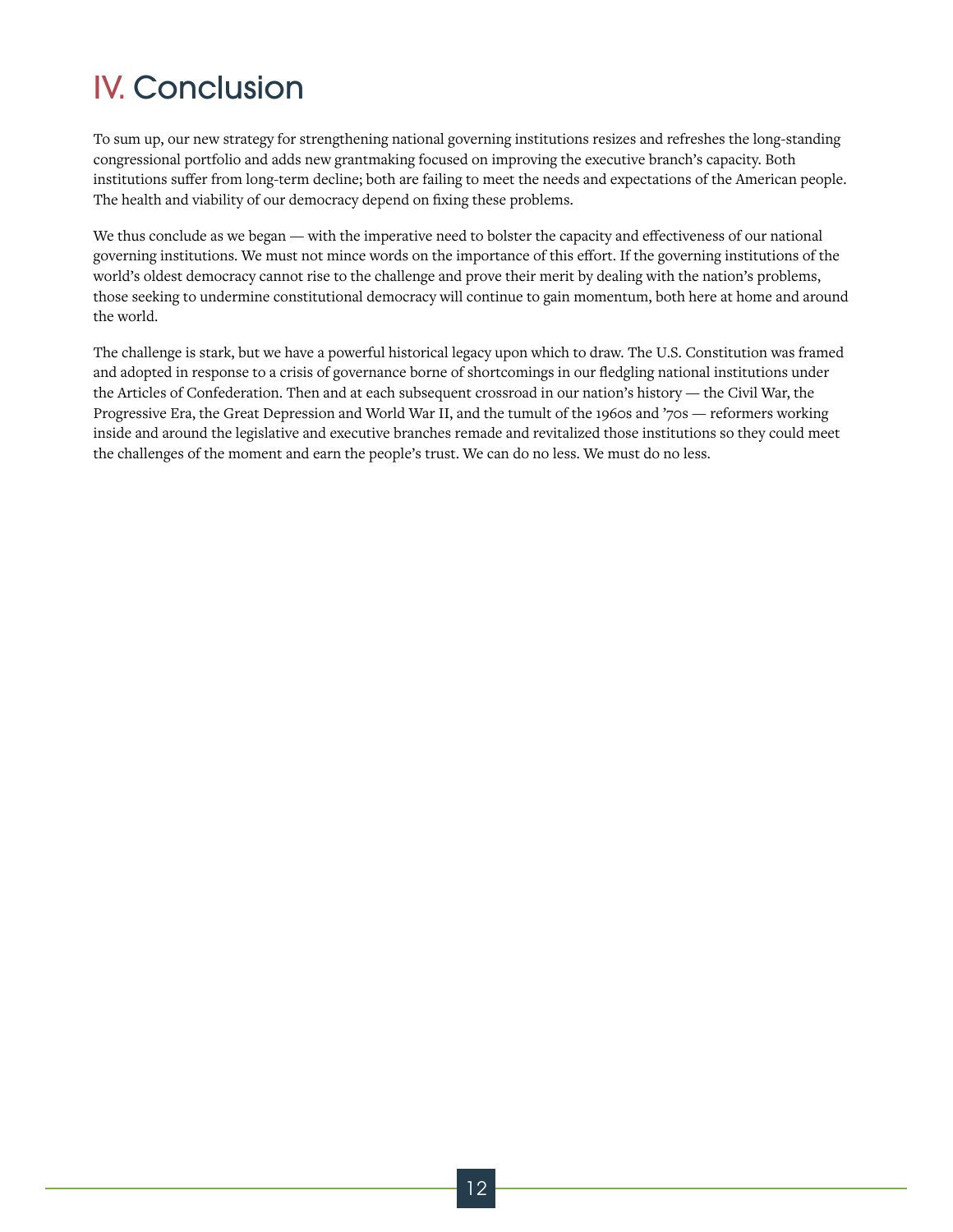### IV. Conclusion

To sum up, our new strategy for strengthening national governing institutions resizes and refreshes the long-standing congressional portfolio and adds new grantmaking focused on improving the executive branch's capacity. Both institutions suffer from long-term decline; both are failing to meet the needs and expectations of the American people. The health and viability of our democracy depend on fixing these problems.

We thus conclude as we began — with the imperative need to bolster the capacity and effectiveness of our national governing institutions. We must not mince words on the importance of this effort. If the governing institutions of the world's oldest democracy cannot rise to the challenge and prove their merit by dealing with the nation's problems, those seeking to undermine constitutional democracy will continue to gain momentum, both here at home and around the world.

The challenge is stark, but we have a powerful historical legacy upon which to draw. The U.S. Constitution was framed and adopted in response to a crisis of governance borne of shortcomings in our fledgling national institutions under the Articles of Confederation. Then and at each subsequent crossroad in our nation's history — the Civil War, the Progressive Era, the Great Depression and World War II, and the tumult of the 1960s and '70s — reformers working inside and around the legislative and executive branches remade and revitalized those institutions so they could meet the challenges of the moment and earn the people's trust. We can do no less. We must do no less.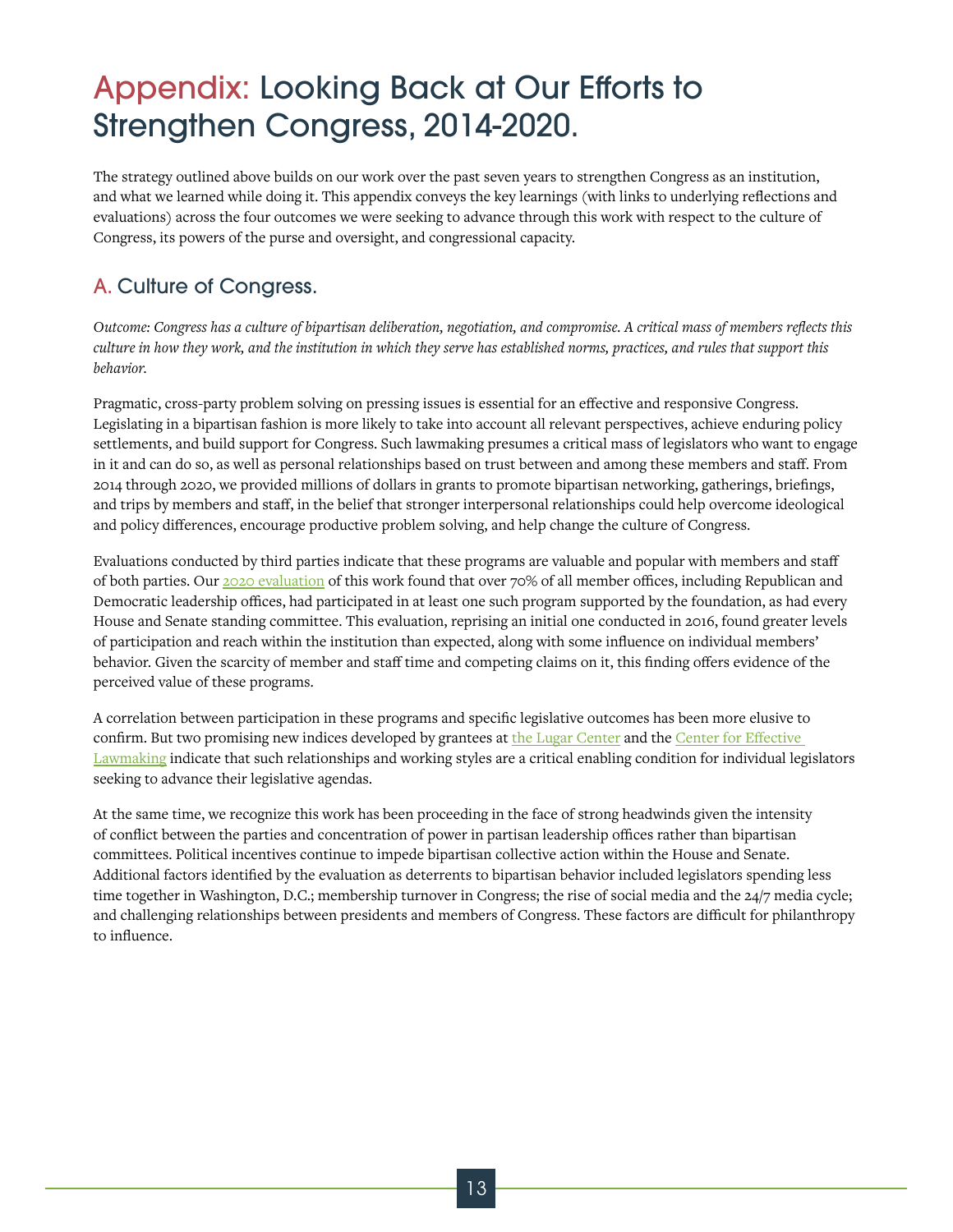### Appendix: Looking Back at Our Efforts to Strengthen Congress, 2014-2020.

The strategy outlined above builds on our work over the past seven years to strengthen Congress as an institution, and what we learned while doing it. This appendix conveys the key learnings (with links to underlying reflections and evaluations) across the four outcomes we were seeking to advance through this work with respect to the culture of Congress, its powers of the purse and oversight, and congressional capacity.

#### A. Culture of Congress.

*Outcome: Congress has a culture of bipartisan deliberation, negotiation, and compromise. A critical mass of members reflects this culture in how they work, and the institution in which they serve has established norms, practices, and rules that support this behavior.* 

Pragmatic, cross-party problem solving on pressing issues is essential for an effective and responsive Congress. Legislating in a bipartisan fashion is more likely to take into account all relevant perspectives, achieve enduring policy settlements, and build support for Congress. Such lawmaking presumes a critical mass of legislators who want to engage in it and can do so, as well as personal relationships based on trust between and among these members and staff. From 2014 through 2020, we provided millions of dollars in grants to promote bipartisan networking, gatherings, briefings, and trips by members and staff, in the belief that stronger interpersonal relationships could help overcome ideological and policy differences, encourage productive problem solving, and help change the culture of Congress.

Evaluations conducted by third parties indicate that these programs are valuable and popular with members and staff of both parties. Our [2020 evaluation](https://hewlett.org/building-bipartisan-relationships-in-congress/) of this work found that over 70% of all member offices, including Republican and Democratic leadership offices, had participated in at least one such program supported by the foundation, as had every House and Senate standing committee. This evaluation, reprising an initial one conducted in 2016, found greater levels of participation and reach within the institution than expected, along with some influence on individual members' behavior. Given the scarcity of member and staff time and competing claims on it, this finding offers evidence of the perceived value of these programs.

A correlation between participation in these programs and specific legislative outcomes has been more elusive to confirm. But two promising new indices developed by grantees at [the Lugar Center](https://www.thelugarcenter.org/ourwork-Bipartisan-Index.html) and the Center for Effective [Lawmaking](https://thelawmakers.org/) indicate that such relationships and working styles are a critical enabling condition for individual legislators seeking to advance their legislative agendas.

At the same time, we recognize this work has been proceeding in the face of strong headwinds given the intensity of conflict between the parties and concentration of power in partisan leadership offices rather than bipartisan committees. Political incentives continue to impede bipartisan collective action within the House and Senate. Additional factors identified by the evaluation as deterrents to bipartisan behavior included legislators spending less time together in Washington, D.C.; membership turnover in Congress; the rise of social media and the 24/7 media cycle; and challenging relationships between presidents and members of Congress. These factors are difficult for philanthropy to influence.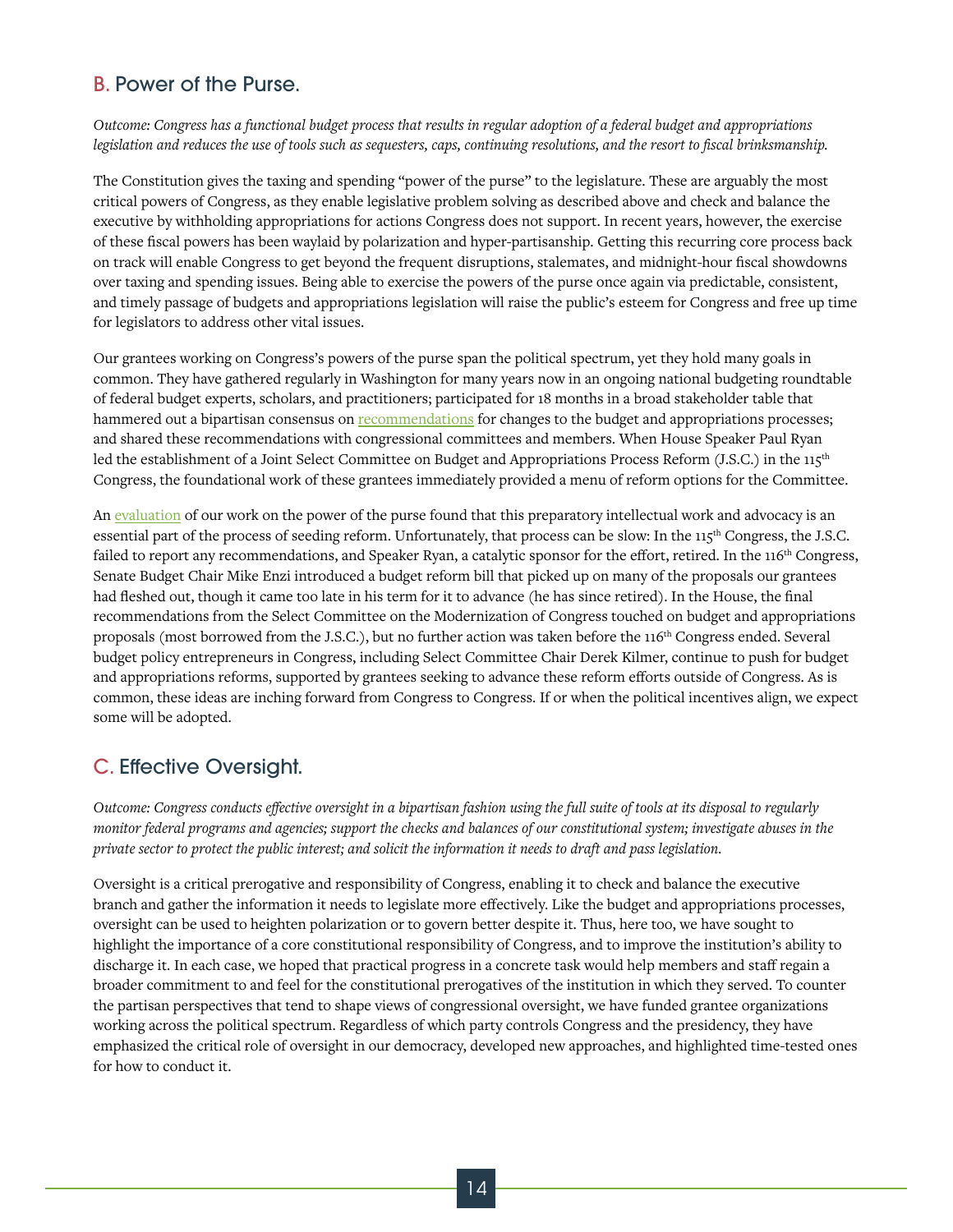#### B. Power of the Purse.

*Outcome: Congress has a functional budget process that results in regular adoption of a federal budget and appropriations legislation and reduces the use of tools such as sequesters, caps, continuing resolutions, and the resort to fiscal brinksmanship.*

The Constitution gives the taxing and spending "power of the purse" to the legislature. These are arguably the most critical powers of Congress, as they enable legislative problem solving as described above and check and balance the executive by withholding appropriations for actions Congress does not support. In recent years, however, the exercise of these fiscal powers has been waylaid by polarization and hyper-partisanship. Getting this recurring core process back on track will enable Congress to get beyond the frequent disruptions, stalemates, and midnight-hour fiscal showdowns over taxing and spending issues. Being able to exercise the powers of the purse once again via predictable, consistent, and timely passage of budgets and appropriations legislation will raise the public's esteem for Congress and free up time for legislators to address other vital issues.

Our grantees working on Congress's powers of the purse span the political spectrum, yet they hold many goals in common. They have gathered regularly in Washington for many years now in an ongoing national budgeting roundtable of federal budget experts, scholars, and practitioners; participated for 18 months in a broad stakeholder table that hammered out a bipartisan consensus on [recommendations](http://www.convergencepolicy.org/wp-content/uploads/2018/04/B3P-Report-Final_4.18.18.pdf.) for changes to the budget and appropriations processes; and shared these recommendations with congressional committees and members. When House Speaker Paul Ryan led the establishment of a Joint Select Committee on Budget and Appropriations Process Reform (J.S.C.) in the 115<sup>th</sup> Congress, the foundational work of these grantees immediately provided a menu of reform options for the Committee.

An [evaluation](https://hewlett.org/what-an-independent-evaluation-tells-us-about-strengthening-congressional-budget-process/) of our work on the power of the purse found that this preparatory intellectual work and advocacy is an essential part of the process of seeding reform. Unfortunately, that process can be slow: In the 115<sup>th</sup> Congress, the J.S.C. failed to report any recommendations, and Speaker Ryan, a catalytic sponsor for the effort, retired. In the 116<sup>th</sup> Congress, Senate Budget Chair Mike Enzi introduced a budget reform bill that picked up on many of the proposals our grantees had fleshed out, though it came too late in his term for it to advance (he has since retired). In the House, the final recommendations from the Select Committee on the Modernization of Congress touched on budget and appropriations proposals (most borrowed from the J.S.C.), but no further action was taken before the 116<sup>th</sup> Congress ended. Several budget policy entrepreneurs in Congress, including Select Committee Chair Derek Kilmer, continue to push for budget and appropriations reforms, supported by grantees seeking to advance these reform efforts outside of Congress. As is common, these ideas are inching forward from Congress to Congress. If or when the political incentives align, we expect some will be adopted.

#### C. Effective Oversight.

*Outcome: Congress conducts effective oversight in a bipartisan fashion using the full suite of tools at its disposal to regularly monitor federal programs and agencies; support the checks and balances of our constitutional system; investigate abuses in the private sector to protect the public interest; and solicit the information it needs to draft and pass legislation.*

Oversight is a critical prerogative and responsibility of Congress, enabling it to check and balance the executive branch and gather the information it needs to legislate more effectively. Like the budget and appropriations processes, oversight can be used to heighten polarization or to govern better despite it. Thus, here too, we have sought to highlight the importance of a core constitutional responsibility of Congress, and to improve the institution's ability to discharge it. In each case, we hoped that practical progress in a concrete task would help members and staff regain a broader commitment to and feel for the constitutional prerogatives of the institution in which they served. To counter the partisan perspectives that tend to shape views of congressional oversight, we have funded grantee organizations working across the political spectrum. Regardless of which party controls Congress and the presidency, they have emphasized the critical role of oversight in our democracy, developed new approaches, and highlighted time-tested ones for how to conduct it.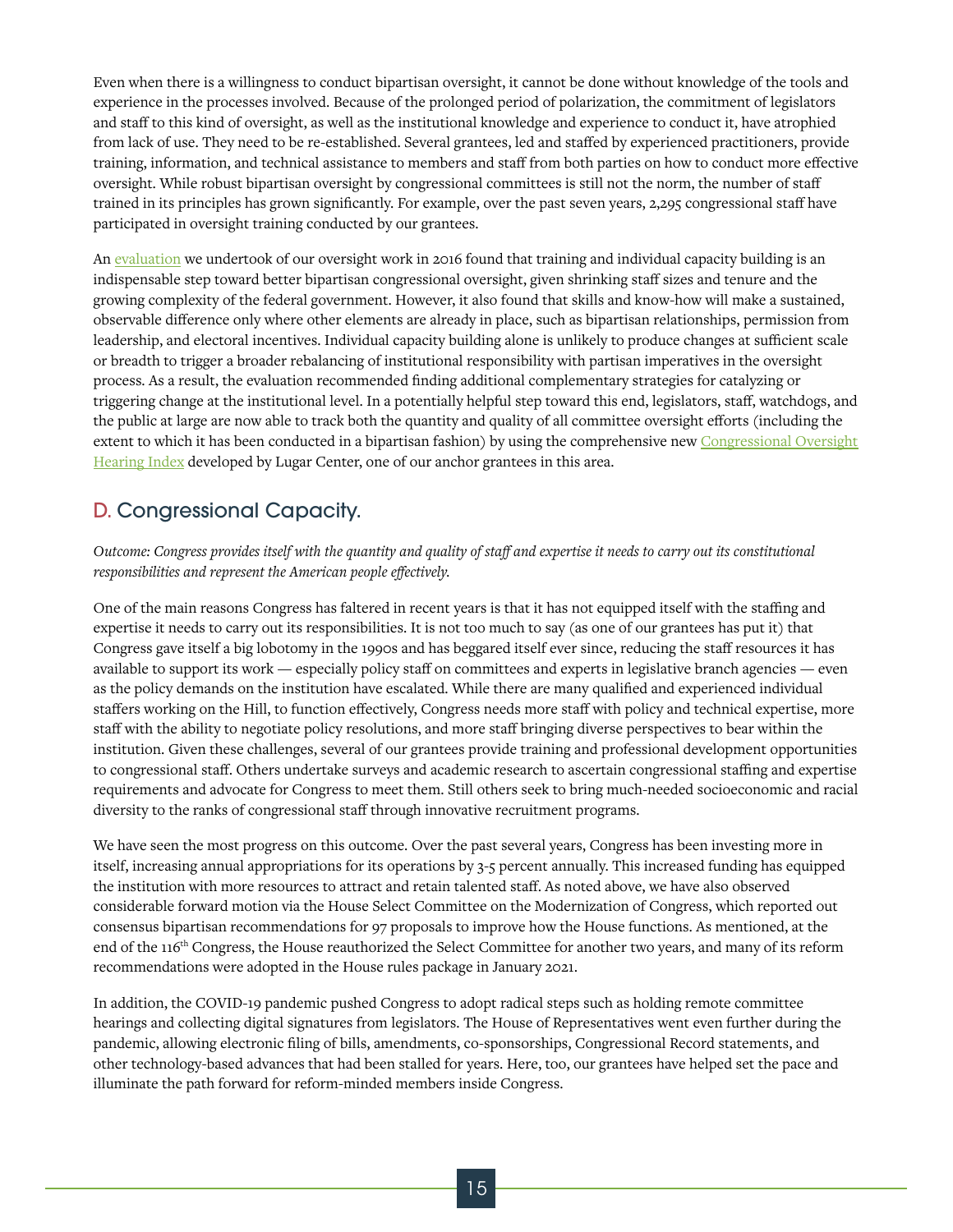Even when there is a willingness to conduct bipartisan oversight, it cannot be done without knowledge of the tools and experience in the processes involved. Because of the prolonged period of polarization, the commitment of legislators and staff to this kind of oversight, as well as the institutional knowledge and experience to conduct it, have atrophied from lack of use. They need to be re-established. Several grantees, led and staffed by experienced practitioners, provide training, information, and technical assistance to members and staff from both parties on how to conduct more effective oversight. While robust bipartisan oversight by congressional committees is still not the norm, the number of staff trained in its principles has grown significantly. For example, over the past seven years, 2,295 congressional staff have participated in oversight training conducted by our grantees.

An [evaluation](https://hewlett.org/wp-content/uploads/2019/01/Oversight-cluster-assessment-memo-to-grantees-2016-09.pdf) we undertook of our oversight work in 2016 found that training and individual capacity building is an indispensable step toward better bipartisan congressional oversight, given shrinking staff sizes and tenure and the growing complexity of the federal government. However, it also found that skills and know-how will make a sustained, observable difference only where other elements are already in place, such as bipartisan relationships, permission from leadership, and electoral incentives. Individual capacity building alone is unlikely to produce changes at sufficient scale or breadth to trigger a broader rebalancing of institutional responsibility with partisan imperatives in the oversight process. As a result, the evaluation recommended finding additional complementary strategies for catalyzing or triggering change at the institutional level. In a potentially helpful step toward this end, legislators, staff, watchdogs, and the public at large are now able to track both the quantity and quality of all committee oversight efforts (including the extent to which it has been conducted in a bipartisan fashion) by using the comprehensive new Congressional Oversight [Hearing Index](https://oversight-index.thelugarcenter.org/) developed by Lugar Center, one of our anchor grantees in this area.

#### D. Congressional Capacity.

*Outcome: Congress provides itself with the quantity and quality of staff and expertise it needs to carry out its constitutional responsibilities and represent the American people effectively.*

One of the main reasons Congress has faltered in recent years is that it has not equipped itself with the staffing and expertise it needs to carry out its responsibilities. It is not too much to say (as one of our grantees has put it) that Congress gave itself a big lobotomy in the 1990s and has beggared itself ever since, reducing the staff resources it has available to support its work — especially policy staff on committees and experts in legislative branch agencies — even as the policy demands on the institution have escalated. While there are many qualified and experienced individual staffers working on the Hill, to function effectively, Congress needs more staff with policy and technical expertise, more staff with the ability to negotiate policy resolutions, and more staff bringing diverse perspectives to bear within the institution. Given these challenges, several of our grantees provide training and professional development opportunities to congressional staff. Others undertake surveys and academic research to ascertain congressional staffing and expertise requirements and advocate for Congress to meet them. Still others seek to bring much-needed socioeconomic and racial diversity to the ranks of congressional staff through innovative recruitment programs.

We have seen the most progress on this outcome. Over the past several years, Congress has been investing more in itself, increasing annual appropriations for its operations by 3-5 percent annually. This increased funding has equipped the institution with more resources to attract and retain talented staff. As noted above, we have also observed considerable forward motion via the House Select Committee on the Modernization of Congress, which reported out consensus bipartisan recommendations for 97 proposals to improve how the House functions. As mentioned, at the end of the 116<sup>th</sup> Congress, the House reauthorized the Select Committee for another two years, and many of its reform recommendations were adopted in the House rules package in January 2021.

In addition, the COVID-19 pandemic pushed Congress to adopt radical steps such as holding remote committee hearings and collecting digital signatures from legislators. The House of Representatives went even further during the pandemic, allowing electronic filing of bills, amendments, co-sponsorships, Congressional Record statements, and other technology-based advances that had been stalled for years. Here, too, our grantees have helped set the pace and illuminate the path forward for reform-minded members inside Congress.